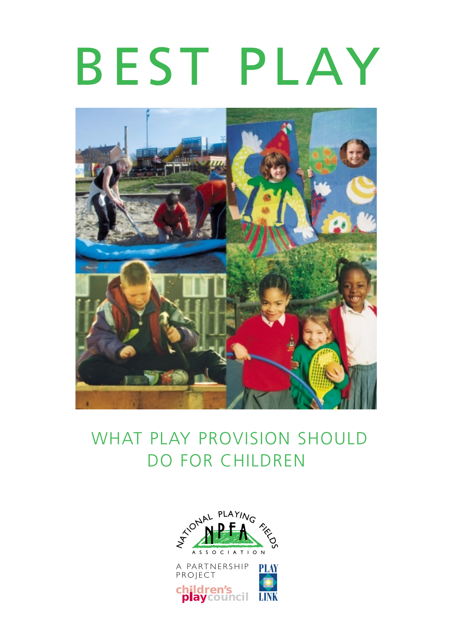# BEST PLAY



# WHAT PLAY PROVISION SHOULD DO FOR CHILDREN

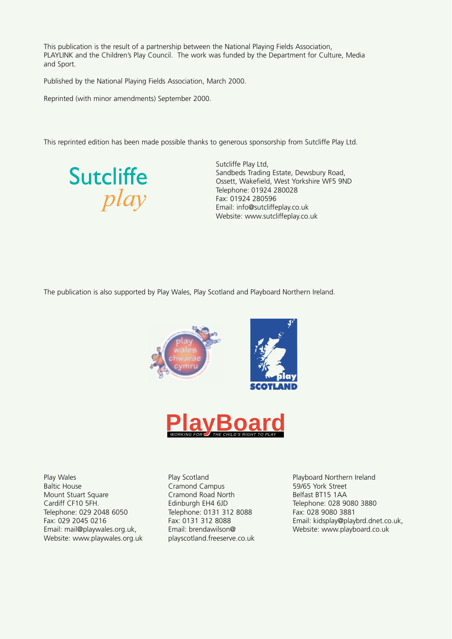This publication is the result of a partnership between the National Playing Fields Association, PLAYLINK and the Children's Play Council. The work was funded by the Department for Culture, Media and Sport.

Published by the National Playing Fields Association, March 2000.

Reprinted (with minor amendments) September 2000.

This reprinted edition has been made possible thanks to generous sponsorship from Sutcliffe Play Ltd.

**Sutcliffe** play

Sutcliffe Play Ltd, Sandbeds Trading Estate, Dewsbury Road, Ossett, Wakefield, West Yorkshire WF5 9ND Telephone: 01924 280028 Fax: 01924 280596 Email: info@sutcliffeplay.co.uk Website: www.sutcliffeplay.co.uk

The publication is also supported by Play Wales, Play Scotland and Playboard Northern Ireland.





Play Wales Baltic House Mount Stuart Square Cardiff CF10 5FH. Telephone: 029 2048 6050 Fax: 029 2045 0216 Email: mail@playwales.org.uk, Website: www.playwales.org.uk

Play Scotland Cramond Campus Cramond Road North Edinburgh EH4 6JD Telephone: 0131 312 8088 Fax: 0131 312 8088 Email: brendawilson@ playscotland.freeserve.co.uk Playboard Northern Ireland 59/65 York Street Belfast BT15 1AA Telephone: 028 9080 3880 Fax: 028 9080 3881 Email: kidsplay@playbrd.dnet.co.uk, Website: www.playboard.co.uk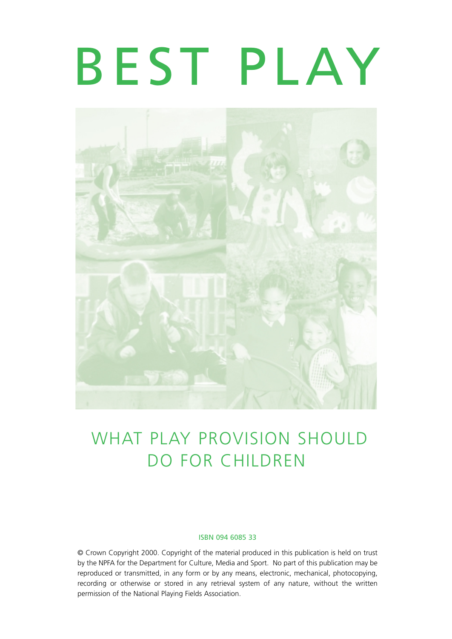# BEST PLAY



# WHAT PLAY PROVISION SHOULD DO FOR CHILDREN

### ISBN 094 6085 33

© Crown Copyright 2000. Copyright of the material produced in this publication is held on trust by the NPFA for the Department for Culture, Media and Sport. No part of this publication may be reproduced or transmitted, in any form or by any means, electronic, mechanical, photocopying, recording or otherwise or stored in any retrieval system of any nature, without the written permission of the National Playing Fields Association.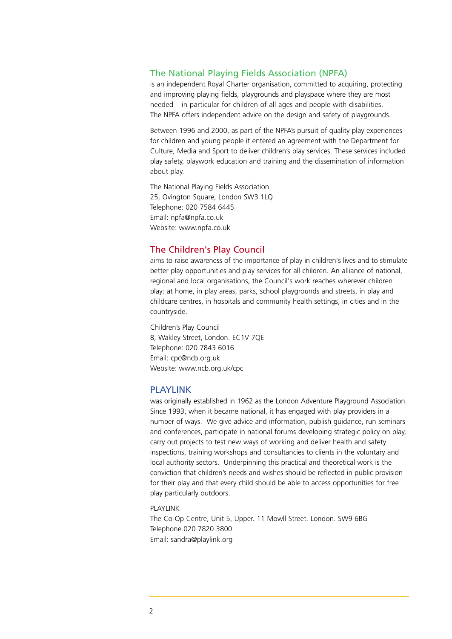# The National Playing Fields Association (NPFA)

is an independent Royal Charter organisation, committed to acquiring, protecting and improving playing fields, playgrounds and playspace where they are most needed – in particular for children of all ages and people with disabilities. The NPFA offers independent advice on the design and safety of playgrounds.

Between 1996 and 2000, as part of the NPFA's pursuit of quality play experiences for children and young people it entered an agreement with the Department for Culture, Media and Sport to deliver children's play services. These services included play safety, playwork education and training and the dissemination of information about play.

The National Playing Fields Association 25, Ovington Square, London SW3 1LQ Telephone: 020 7584 6445 Email: npfa@npfa.co.uk Website: www.npfa.co.uk

### The Children's Play Council

aims to raise awareness of the importance of play in children's lives and to stimulate better play opportunities and play services for all children. An alliance of national, regional and local organisations, the Council's work reaches wherever children play: at home, in play areas, parks, school playgrounds and streets, in play and childcare centres, in hospitals and community health settings, in cities and in the countryside.

Children's Play Council 8, Wakley Street, London. EC1V 7QE Telephone: 020 7843 6016 Email: cpc@ncb.org.uk Website: www.ncb.org.uk/cpc

### PLAYLINK

was originally established in 1962 as the London Adventure Playground Association. Since 1993, when it became national, it has engaged with play providers in a number of ways. We give advice and information, publish guidance, run seminars and conferences, participate in national forums developing strategic policy on play, carry out projects to test new ways of working and deliver health and safety inspections, training workshops and consultancies to clients in the voluntary and local authority sectors. Underpinning this practical and theoretical work is the conviction that children's needs and wishes should be reflected in public provision for their play and that every child should be able to access opportunities for free play particularly outdoors.

### PLAYLINK

The Co-Op Centre, Unit 5, Upper. 11 Mowll Street. London. SW9 6BG Telephone 020 7820 3800 Email: sandra@playlink.org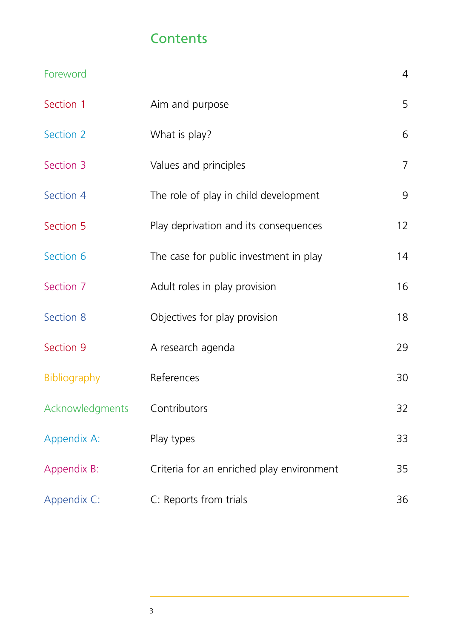# **Contents**

| Foreword            |                                           | 4  |
|---------------------|-------------------------------------------|----|
| Section 1           | Aim and purpose                           | 5  |
| Section 2           | What is play?                             | 6  |
| Section 3           | Values and principles                     | 7  |
| Section 4           | The role of play in child development     | 9  |
| Section 5           | Play deprivation and its consequences     | 12 |
| Section 6           | The case for public investment in play    | 14 |
| Section 7           | Adult roles in play provision             | 16 |
| Section 8           | Objectives for play provision             | 18 |
| Section 9           | A research agenda                         | 29 |
| <b>Bibliography</b> | References                                | 30 |
| Acknowledgments     | Contributors                              | 32 |
| Appendix A:         | Play types                                | 33 |
| Appendix B:         | Criteria for an enriched play environment | 35 |
| Appendix C:         | C: Reports from trials                    | 36 |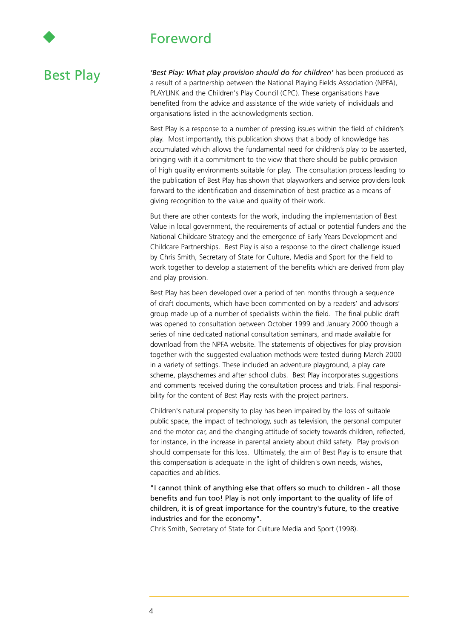**Best Play** *'Best Play: What play provision should do for children'* has been produced as a result of a partnership between the National Playing Fields Association (NPFA), PLAYLINK and the Children's Play Council (CPC). These organisations have benefited from the advice and assistance of the wide variety of individuals and organisations listed in the acknowledgments section.

> Best Play is a response to a number of pressing issues within the field of children's play. Most importantly, this publication shows that a body of knowledge has accumulated which allows the fundamental need for children's play to be asserted, bringing with it a commitment to the view that there should be public provision of high quality environments suitable for play. The consultation process leading to the publication of Best Play has shown that playworkers and service providers look forward to the identification and dissemination of best practice as a means of giving recognition to the value and quality of their work.

> But there are other contexts for the work, including the implementation of Best Value in local government, the requirements of actual or potential funders and the National Childcare Strategy and the emergence of Early Years Development and Childcare Partnerships. Best Play is also a response to the direct challenge issued by Chris Smith, Secretary of State for Culture, Media and Sport for the field to work together to develop a statement of the benefits which are derived from play and play provision.

Best Play has been developed over a period of ten months through a sequence of draft documents, which have been commented on by a readers' and advisors' group made up of a number of specialists within the field. The final public draft was opened to consultation between October 1999 and January 2000 though a series of nine dedicated national consultation seminars, and made available for download from the NPFA website. The statements of objectives for play provision together with the suggested evaluation methods were tested during March 2000 in a variety of settings. These included an adventure playground, a play care scheme, playschemes and after school clubs. Best Play incorporates suggestions and comments received during the consultation process and trials. Final responsibility for the content of Best Play rests with the project partners.

Children's natural propensity to play has been impaired by the loss of suitable public space, the impact of technology, such as television, the personal computer and the motor car, and the changing attitude of society towards children, reflected, for instance, in the increase in parental anxiety about child safety. Play provision should compensate for this loss. Ultimately, the aim of Best Play is to ensure that this compensation is adequate in the light of children's own needs, wishes, capacities and abilities.

"I cannot think of anything else that offers so much to children - all those benefits and fun too! Play is not only important to the quality of life of children, it is of great importance for the country's future, to the creative industries and for the economy".

Chris Smith, Secretary of State for Culture Media and Sport (1998).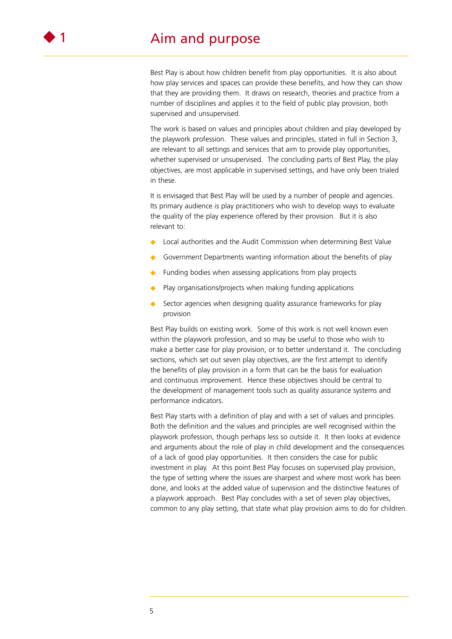Best Play is about how children benefit from play opportunities. It is also about how play services and spaces can provide these benefits, and how they can show that they are providing them. It draws on research, theories and practice from a number of disciplines and applies it to the field of public play provision, both supervised and unsupervised.

The work is based on values and principles about children and play developed by the playwork profession. These values and principles, stated in full in Section 3, are relevant to all settings and services that aim to provide play opportunities, whether supervised or unsupervised. The concluding parts of Best Play, the play objectives, are most applicable in supervised settings, and have only been trialed in these.

It is envisaged that Best Play will be used by a number of people and agencies. Its primary audience is play practitioners who wish to develop ways to evaluate the quality of the play experience offered by their provision. But it is also relevant to:

- Local authorities and the Audit Commission when determining Best Value
- Government Departments wanting information about the benefits of play
- Funding bodies when assessing applications from play projects
- Play organisations/projects when making funding applications
- Sector agencies when designing quality assurance frameworks for play provision

Best Play builds on existing work. Some of this work is not well known even within the playwork profession, and so may be useful to those who wish to make a better case for play provision, or to better understand it. The concluding sections, which set out seven play objectives, are the first attempt to identify the benefits of play provision in a form that can be the basis for evaluation and continuous improvement. Hence these objectives should be central to the development of management tools such as quality assurance systems and performance indicators.

Best Play starts with a definition of play and with a set of values and principles. Both the definition and the values and principles are well recognised within the playwork profession, though perhaps less so outside it. It then looks at evidence and arguments about the role of play in child development and the consequences of a lack of good play opportunities. It then considers the case for public investment in play. At this point Best Play focuses on supervised play provision, the type of setting where the issues are sharpest and where most work has been done, and looks at the added value of supervision and the distinctive features of a playwork approach. Best Play concludes with a set of seven play objectives, common to any play setting, that state what play provision aims to do for children.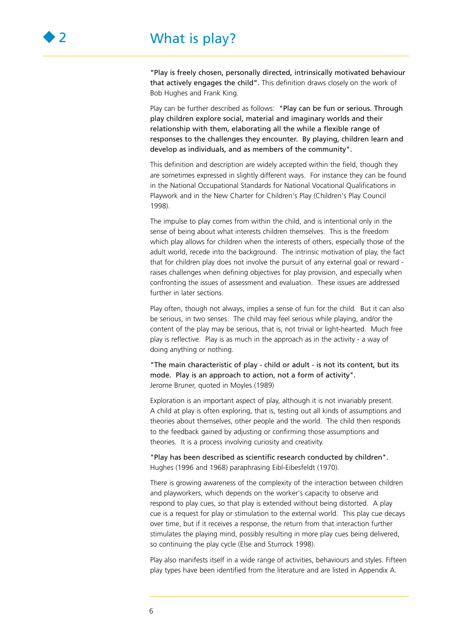# 2 What is play?

"Play is freely chosen, personally directed, intrinsically motivated behaviour that actively engages the child". This definition draws closely on the work of Bob Hughes and Frank King.

Play can be further described as follows: "Play can be fun or serious. Through play children explore social, material and imaginary worlds and their relationship with them, elaborating all the while a flexible range of responses to the challenges they encounter. By playing, children learn and develop as individuals, and as members of the community".

This definition and description are widely accepted within the field, though they are sometimes expressed in slightly different ways. For instance they can be found in the National Occupational Standards for National Vocational Qualifications in Playwork and in the New Charter for Children's Play (Children's Play Council 1998).

The impulse to play comes from within the child, and is intentional only in the sense of being about what interests children themselves. This is the freedom which play allows for children when the interests of others, especially those of the adult world, recede into the background. The intrinsic motivation of play, the fact that for children play does not involve the pursuit of any external goal or reward raises challenges when defining objectives for play provision, and especially when confronting the issues of assessment and evaluation. These issues are addressed further in later sections.

Play often, though not always, implies a sense of fun for the child. But it can also be serious, in two senses. The child may feel serious while playing, and/or the content of the play may be serious, that is, not trivial or light-hearted. Much free play is reflective. Play is as much in the approach as in the activity - a way of doing anything or nothing.

"The main characteristic of play - child or adult - is not its content, but its mode. Play is an approach to action, not a form of activity". Jerome Bruner, quoted in Moyles (1989)

Exploration is an important aspect of play, although it is not invariably present. A child at play is often exploring, that is, testing out all kinds of assumptions and theories about themselves, other people and the world. The child then responds to the feedback gained by adjusting or confirming those assumptions and theories. It is a process involving curiosity and creativity.

"Play has been described as scientific research conducted by children". Hughes (1996 and 1968) paraphrasing Eibl-Eibesfeldt (1970).

There is growing awareness of the complexity of the interaction between children and playworkers, which depends on the worker's capacity to observe and respond to play cues, so that play is extended without being distorted. A play cue is a request for play or stimulation to the external world. This play cue decays over time, but if it receives a response, the return from that interaction further stimulates the playing mind, possibly resulting in more play cues being delivered, so continuing the play cycle (Else and Sturrock 1998).

Play also manifests itself in a wide range of activities, behaviours and styles. Fifteen play types have been identified from the literature and are listed in Appendix A.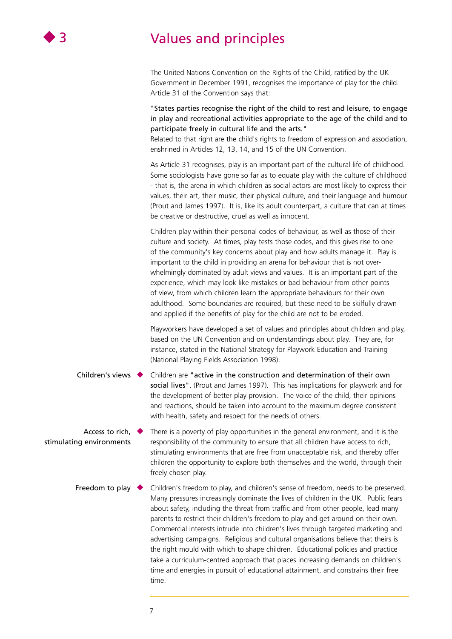The United Nations Convention on the Rights of the Child, ratified by the UK Government in December 1991, recognises the importance of play for the child. Article 31 of the Convention says that:

"States parties recognise the right of the child to rest and leisure, to engage in play and recreational activities appropriate to the age of the child and to participate freely in cultural life and the arts."

Related to that right are the child's rights to freedom of expression and association, enshrined in Articles 12, 13, 14, and 15 of the UN Convention.

As Article 31 recognises, play is an important part of the cultural life of childhood. Some sociologists have gone so far as to equate play with the culture of childhood - that is, the arena in which children as social actors are most likely to express their values, their art, their music, their physical culture, and their language and humour (Prout and James 1997). It is, like its adult counterpart, a culture that can at times be creative or destructive, cruel as well as innocent.

Children play within their personal codes of behaviour, as well as those of their culture and society. At times, play tests those codes, and this gives rise to one of the community's key concerns about play and how adults manage it. Play is important to the child in providing an arena for behaviour that is not overwhelmingly dominated by adult views and values. It is an important part of the experience, which may look like mistakes or bad behaviour from other points of view, from which children learn the appropriate behaviours for their own adulthood. Some boundaries are required, but these need to be skilfully drawn and applied if the benefits of play for the child are not to be eroded.

Playworkers have developed a set of values and principles about children and play, based on the UN Convention and on understandings about play. They are, for instance, stated in the National Strategy for Playwork Education and Training (National Playing Fields Association 1998).

- Children's views  $\blacklozenge$ Children are "active in the construction and determination of their own social lives". (Prout and James 1997). This has implications for playwork and for the development of better play provision. The voice of the child, their opinions and reactions, should be taken into account to the maximum degree consistent with health, safety and respect for the needs of others.
- Access to rich,  $\blacklozenge$ stimulating environments There is a poverty of play opportunities in the general environment, and it is the responsibility of the community to ensure that all children have access to rich, stimulating environments that are free from unacceptable risk, and thereby offer children the opportunity to explore both themselves and the world, through their freely chosen play.
	- Freedom to play  $\blacklozenge$ Children's freedom to play, and children's sense of freedom, needs to be preserved. Many pressures increasingly dominate the lives of children in the UK. Public fears about safety, including the threat from traffic and from other people, lead many parents to restrict their children's freedom to play and get around on their own. Commercial interests intrude into children's lives through targeted marketing and advertising campaigns. Religious and cultural organisations believe that theirs is the right mould with which to shape children. Educational policies and practice take a curriculum-centred approach that places increasing demands on children's time and energies in pursuit of educational attainment, and constrains their free time.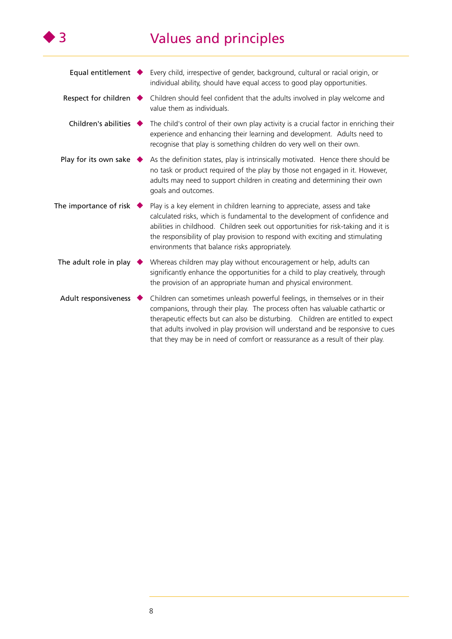

| Equal entitlement $\blacklozenge$      |           | Every child, irrespective of gender, background, cultural or racial origin, or<br>individual ability, should have equal access to good play opportunities.                                                                                                                                                                                                                                                         |
|----------------------------------------|-----------|--------------------------------------------------------------------------------------------------------------------------------------------------------------------------------------------------------------------------------------------------------------------------------------------------------------------------------------------------------------------------------------------------------------------|
| Respect for children $\blacklozenge$   |           | Children should feel confident that the adults involved in play welcome and<br>value them as individuals.                                                                                                                                                                                                                                                                                                          |
| Children's abilities $\blacklozenge$   |           | The child's control of their own play activity is a crucial factor in enriching their<br>experience and enhancing their learning and development. Adults need to<br>recognise that play is something children do very well on their own.                                                                                                                                                                           |
| Play for its own sake $\blacklozenge$  |           | As the definition states, play is intrinsically motivated. Hence there should be<br>no task or product required of the play by those not engaged in it. However,<br>adults may need to support children in creating and determining their own<br>goals and outcomes.                                                                                                                                               |
| The importance of risk $\blacklozenge$ |           | Play is a key element in children learning to appreciate, assess and take<br>calculated risks, which is fundamental to the development of confidence and<br>abilities in childhood. Children seek out opportunities for risk-taking and it is<br>the responsibility of play provision to respond with exciting and stimulating<br>environments that balance risks appropriately.                                   |
| The adult role in play                 |           | Whereas children may play without encouragement or help, adults can<br>significantly enhance the opportunities for a child to play creatively, through<br>the provision of an appropriate human and physical environment.                                                                                                                                                                                          |
| Adult responsiveness                   | $\bullet$ | Children can sometimes unleash powerful feelings, in themselves or in their<br>companions, through their play. The process often has valuable cathartic or<br>therapeutic effects but can also be disturbing. Children are entitled to expect<br>that adults involved in play provision will understand and be responsive to cues<br>that they may be in need of comfort or reassurance as a result of their play. |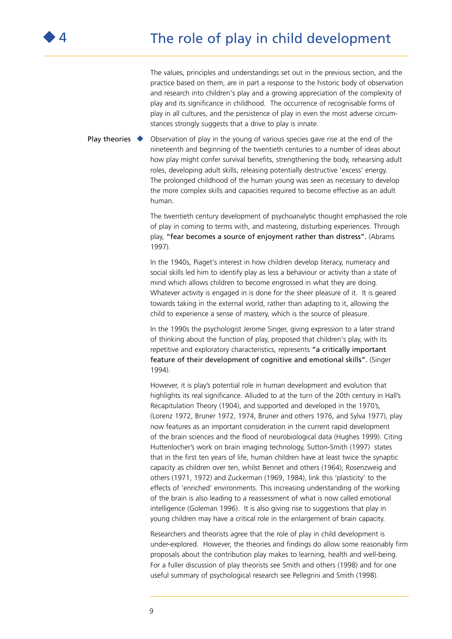The values, principles and understandings set out in the previous section, and the practice based on them, are in part a response to the historic body of observation and research into children's play and a growing appreciation of the complexity of play and its significance in childhood. The occurrence of recognisable forms of play in all cultures, and the persistence of play in even the most adverse circumstances strongly suggests that a drive to play is innate.

Play theories  $\blacklozenge$ Observation of play in the young of various species gave rise at the end of the nineteenth and beginning of the twentieth centuries to a number of ideas about how play might confer survival benefits, strengthening the body, rehearsing adult roles, developing adult skills, releasing potentially destructive 'excess' energy. The prolonged childhood of the human young was seen as necessary to develop the more complex skills and capacities required to become effective as an adult human.

> The twentieth century development of psychoanalytic thought emphasised the role of play in coming to terms with, and mastering, disturbing experiences. Through play, "fear becomes a source of enjoyment rather than distress". (Abrams 1997).

In the 1940s, Piaget's interest in how children develop literacy, numeracy and social skills led him to identify play as less a behaviour or activity than a state of mind which allows children to become engrossed in what they are doing. Whatever activity is engaged in is done for the sheer pleasure of it. It is geared towards taking in the external world, rather than adapting to it, allowing the child to experience a sense of mastery, which is the source of pleasure.

In the 1990s the psychologist Jerome Singer, giving expression to a later strand of thinking about the function of play, proposed that children's play, with its repetitive and exploratory characteristics, represents "a critically important feature of their development of cognitive and emotional skills". (Singer 1994).

However, it is play's potential role in human development and evolution that highlights its real significance. Alluded to at the turn of the 20th century in Hall's Recapitulation Theory (1904), and supported and developed in the 1970's, (Lorenz 1972, Bruner 1972, 1974, Bruner and others 1976, and Sylva 1977), play now features as an important consideration in the current rapid development of the brain sciences and the flood of neurobiological data (Hughes 1999). Citing Huttenlocher's work on brain imaging technology, Sutton-Smith (1997) states that in the first ten years of life, human children have at least twice the synaptic capacity as children over ten, whilst Bennet and others (1964), Rosenzweig and others (1971, 1972) and Zuckerman (1969, 1984), link this 'plasticity' to the effects of 'enriched' environments. This increasing understanding of the working of the brain is also leading to a reassessment of what is now called emotional intelligence (Goleman 1996). It is also giving rise to suggestions that play in young children may have a critical role in the enlargement of brain capacity.

Researchers and theorists agree that the role of play in child development is under-explored. However, the theories and findings do allow some reasonably firm proposals about the contribution play makes to learning, health and well-being. For a fuller discussion of play theorists see Smith and others (1998) and for one useful summary of psychological research see Pellegrini and Smith (1998).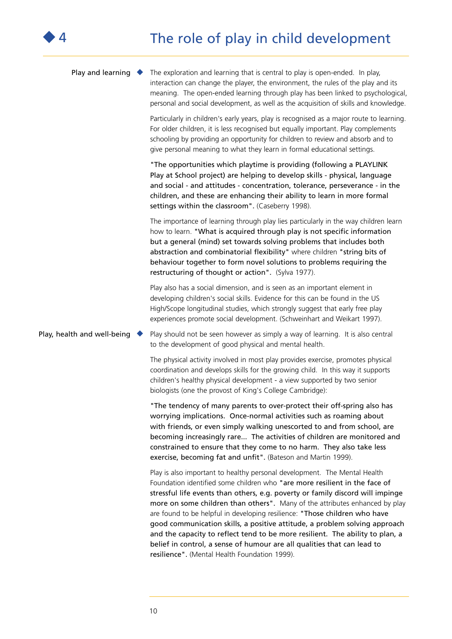

| Play and learning $\blacklozenge$ | The exploration and learning that is central to play is open-ended. In play,<br>interaction can change the player, the environment, the rules of the play and its<br>meaning. The open-ended learning through play has been linked to psychological,<br>personal and social development, as well as the acquisition of skills and knowledge.                                                                                                                                                                                                                                                                                                                                                      |
|-----------------------------------|---------------------------------------------------------------------------------------------------------------------------------------------------------------------------------------------------------------------------------------------------------------------------------------------------------------------------------------------------------------------------------------------------------------------------------------------------------------------------------------------------------------------------------------------------------------------------------------------------------------------------------------------------------------------------------------------------|
|                                   | Particularly in children's early years, play is recognised as a major route to learning.<br>For older children, it is less recognised but equally important. Play complements<br>schooling by providing an opportunity for children to review and absorb and to<br>give personal meaning to what they learn in formal educational settings.                                                                                                                                                                                                                                                                                                                                                       |
|                                   | "The opportunities which playtime is providing (following a PLAYLINK<br>Play at School project) are helping to develop skills - physical, language<br>and social - and attitudes - concentration, tolerance, perseverance - in the<br>children, and these are enhancing their ability to learn in more formal<br>settings within the classroom". (Caseberry 1998).                                                                                                                                                                                                                                                                                                                                |
|                                   | The importance of learning through play lies particularly in the way children learn<br>how to learn. "What is acquired through play is not specific information<br>but a general (mind) set towards solving problems that includes both<br>abstraction and combinatorial flexibility" where children "string bits of<br>behaviour together to form novel solutions to problems requiring the<br>restructuring of thought or action". (Sylva 1977).                                                                                                                                                                                                                                                |
|                                   | Play also has a social dimension, and is seen as an important element in<br>developing children's social skills. Evidence for this can be found in the US<br>High/Scope longitudinal studies, which strongly suggest that early free play<br>experiences promote social development. (Schweinhart and Weikart 1997).                                                                                                                                                                                                                                                                                                                                                                              |
| Play, health and well-being       | Play should not be seen however as simply a way of learning. It is also central<br>to the development of good physical and mental health.                                                                                                                                                                                                                                                                                                                                                                                                                                                                                                                                                         |
|                                   | The physical activity involved in most play provides exercise, promotes physical<br>coordination and develops skills for the growing child. In this way it supports<br>children's healthy physical development - a view supported by two senior<br>biologists (one the provost of King's College Cambridge):                                                                                                                                                                                                                                                                                                                                                                                      |
|                                   | "The tendency of many parents to over-protect their off-spring also has<br>worrying implications. Once-normal activities such as roaming about<br>with friends, or even simply walking unescorted to and from school, are<br>becoming increasingly rare The activities of children are monitored and<br>constrained to ensure that they come to no harm. They also take less<br>exercise, becoming fat and unfit". (Bateson and Martin 1999).                                                                                                                                                                                                                                                     |
|                                   | Play is also important to healthy personal development. The Mental Health<br>Foundation identified some children who "are more resilient in the face of<br>stressful life events than others, e.g. poverty or family discord will impinge<br>more on some children than others". Many of the attributes enhanced by play<br>are found to be helpful in developing resilience: "Those children who have<br>good communication skills, a positive attitude, a problem solving approach<br>and the capacity to reflect tend to be more resilient. The ability to plan, a<br>belief in control, a sense of humour are all qualities that can lead to<br>resilience". (Mental Health Foundation 1999). |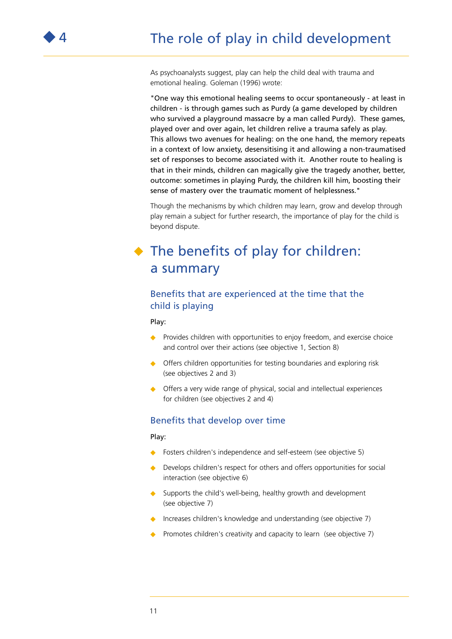

As psychoanalysts suggest, play can help the child deal with trauma and emotional healing. Goleman (1996) wrote:

"One way this emotional healing seems to occur spontaneously - at least in children - is through games such as Purdy (a game developed by children who survived a playground massacre by a man called Purdy). These games, played over and over again, let children relive a trauma safely as play. This allows two avenues for healing: on the one hand, the memory repeats in a context of low anxiety, desensitising it and allowing a non-traumatised set of responses to become associated with it. Another route to healing is that in their minds, children can magically give the tragedy another, better, outcome: sometimes in playing Purdy, the children kill him, boosting their sense of mastery over the traumatic moment of helplessness."

Though the mechanisms by which children may learn, grow and develop through play remain a subject for further research, the importance of play for the child is beyond dispute.

# ◆ The benefits of play for children: a summary

# Benefits that are experienced at the time that the child is playing

Play:

- ◆ Provides children with opportunities to enjoy freedom, and exercise choice and control over their actions (see objective 1, Section 8)
- ◆ Offers children opportunities for testing boundaries and exploring risk (see objectives 2 and 3)
- ◆ Offers a very wide range of physical, social and intellectual experiences for children (see objectives 2 and 4)

# Benefits that develop over time

Play:

- ◆ Fosters children's independence and self-esteem (see objective 5)
- Develops children's respect for others and offers opportunities for social interaction (see objective 6)
- ◆ Supports the child's well-being, healthy growth and development (see objective 7)
- ◆ Increases children's knowledge and understanding (see objective 7)
- Promotes children's creativity and capacity to learn (see objective 7)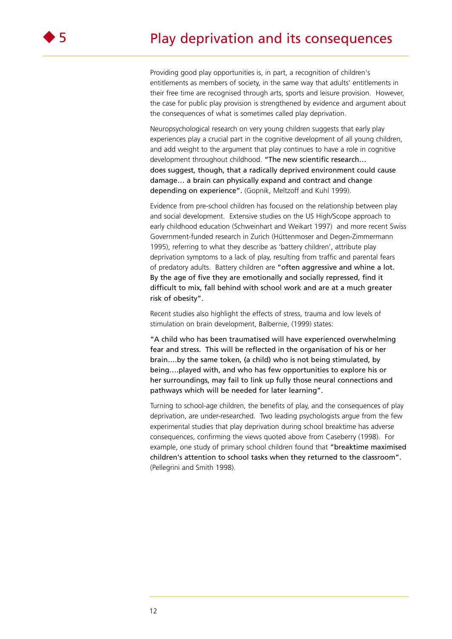Providing good play opportunities is, in part, a recognition of children's entitlements as members of society, in the same way that adults' entitlements in their free time are recognised through arts, sports and leisure provision. However, the case for public play provision is strengthened by evidence and argument about the consequences of what is sometimes called play deprivation.

Neuropsychological research on very young children suggests that early play experiences play a crucial part in the cognitive development of all young children, and add weight to the argument that play continues to have a role in cognitive development throughout childhood. "The new scientific research… does suggest, though, that a radically deprived environment could cause damage… a brain can physically expand and contract and change depending on experience". (Gopnik, Meltzoff and Kuhl 1999).

Evidence from pre-school children has focused on the relationship between play and social development. Extensive studies on the US High/Scope approach to early childhood education (Schweinhart and Weikart 1997) and more recent Swiss Government-funded research in Zurich (Hüttenmoser and Degen-Zimmermann 1995), referring to what they describe as 'battery children', attribute play deprivation symptoms to a lack of play, resulting from traffic and parental fears of predatory adults. Battery children are "often aggressive and whine a lot. By the age of five they are emotionally and socially repressed, find it difficult to mix, fall behind with school work and are at a much greater risk of obesity".

Recent studies also highlight the effects of stress, trauma and low levels of stimulation on brain development, Balbernie, (1999) states:

"A child who has been traumatised will have experienced overwhelming fear and stress. This will be reflected in the organisation of his or her brain….by the same token, (a child) who is not being stimulated, by being….played with, and who has few opportunities to explore his or her surroundings, may fail to link up fully those neural connections and pathways which will be needed for later learning".

Turning to school-age children, the benefits of play, and the consequences of play deprivation, are under-researched. Two leading psychologists argue from the few experimental studies that play deprivation during school breaktime has adverse consequences, confirming the views quoted above from Caseberry (1998). For example, one study of primary school children found that "breaktime maximised children's attention to school tasks when they returned to the classroom". (Pellegrini and Smith 1998).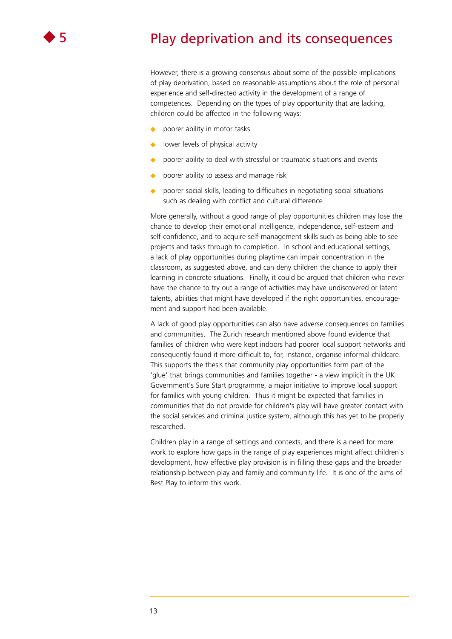However, there is a growing consensus about some of the possible implications of play deprivation, based on reasonable assumptions about the role of personal experience and self-directed activity in the development of a range of competences. Depending on the types of play opportunity that are lacking, children could be affected in the following ways:

- poorer ability in motor tasks
- lower levels of physical activity
- poorer ability to deal with stressful or traumatic situations and events
- poorer ability to assess and manage risk
- ◆ poorer social skills, leading to difficulties in negotiating social situations such as dealing with conflict and cultural difference

More generally, without a good range of play opportunities children may lose the chance to develop their emotional intelligence, independence, self-esteem and self-confidence, and to acquire self-management skills such as being able to see projects and tasks through to completion. In school and educational settings, a lack of play opportunities during playtime can impair concentration in the classroom, as suggested above, and can deny children the chance to apply their learning in concrete situations. Finally, it could be argued that children who never have the chance to try out a range of activities may have undiscovered or latent talents, abilities that might have developed if the right opportunities, encouragement and support had been available.

A lack of good play opportunities can also have adverse consequences on families and communities. The Zurich research mentioned above found evidence that families of children who were kept indoors had poorer local support networks and consequently found it more difficult to, for, instance, organise informal childcare. This supports the thesis that community play opportunities form part of the 'glue' that brings communities and families together - a view implicit in the UK Government's Sure Start programme, a major initiative to improve local support for families with young children. Thus it might be expected that families in communities that do not provide for children's play will have greater contact with the social services and criminal justice system, although this has yet to be properly researched.

Children play in a range of settings and contexts, and there is a need for more work to explore how gaps in the range of play experiences might affect children's development, how effective play provision is in filling these gaps and the broader relationship between play and family and community life. It is one of the aims of Best Play to inform this work.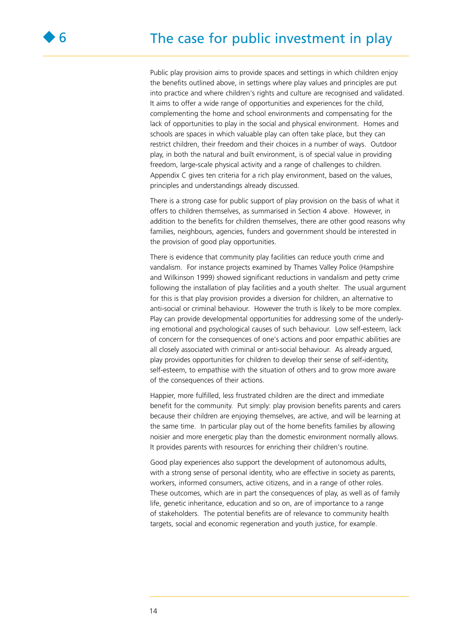Public play provision aims to provide spaces and settings in which children enjoy the benefits outlined above, in settings where play values and principles are put into practice and where children's rights and culture are recognised and validated. It aims to offer a wide range of opportunities and experiences for the child, complementing the home and school environments and compensating for the lack of opportunities to play in the social and physical environment. Homes and schools are spaces in which valuable play can often take place, but they can restrict children, their freedom and their choices in a number of ways. Outdoor play, in both the natural and built environment, is of special value in providing freedom, large-scale physical activity and a range of challenges to children. Appendix C gives ten criteria for a rich play environment, based on the values, principles and understandings already discussed.

There is a strong case for public support of play provision on the basis of what it offers to children themselves, as summarised in Section 4 above. However, in addition to the benefits for children themselves, there are other good reasons why families, neighbours, agencies, funders and government should be interested in the provision of good play opportunities.

There is evidence that community play facilities can reduce youth crime and vandalism. For instance projects examined by Thames Valley Police (Hampshire and Wilkinson 1999) showed significant reductions in vandalism and petty crime following the installation of play facilities and a youth shelter. The usual argument for this is that play provision provides a diversion for children, an alternative to anti-social or criminal behaviour. However the truth is likely to be more complex. Play can provide developmental opportunities for addressing some of the underlying emotional and psychological causes of such behaviour. Low self-esteem, lack of concern for the consequences of one's actions and poor empathic abilities are all closely associated with criminal or anti-social behaviour. As already argued, play provides opportunities for children to develop their sense of self-identity, self-esteem, to empathise with the situation of others and to grow more aware of the consequences of their actions.

Happier, more fulfilled, less frustrated children are the direct and immediate benefit for the community. Put simply: play provision benefits parents and carers because their children are enjoying themselves, are active, and will be learning at the same time. In particular play out of the home benefits families by allowing noisier and more energetic play than the domestic environment normally allows. It provides parents with resources for enriching their children's routine.

Good play experiences also support the development of autonomous adults, with a strong sense of personal identity, who are effective in society as parents, workers, informed consumers, active citizens, and in a range of other roles. These outcomes, which are in part the consequences of play, as well as of family life, genetic inheritance, education and so on, are of importance to a range of stakeholders. The potential benefits are of relevance to community health targets, social and economic regeneration and youth justice, for example.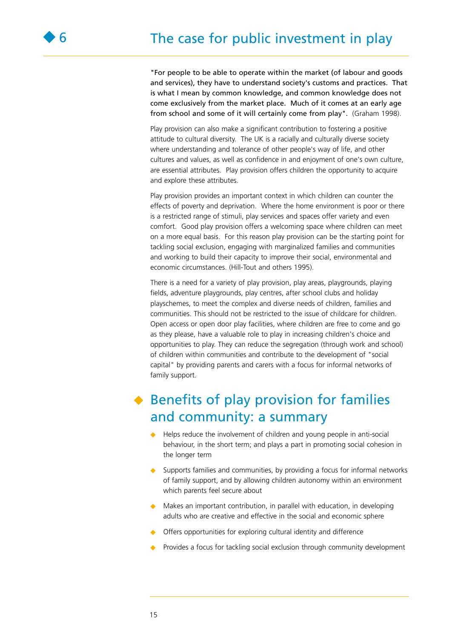"For people to be able to operate within the market (of labour and goods and services), they have to understand society's customs and practices. That is what I mean by common knowledge, and common knowledge does not come exclusively from the market place. Much of it comes at an early age from school and some of it will certainly come from play". (Graham 1998).

Play provision can also make a significant contribution to fostering a positive attitude to cultural diversity. The UK is a racially and culturally diverse society where understanding and tolerance of other people's way of life, and other cultures and values, as well as confidence in and enjoyment of one's own culture, are essential attributes. Play provision offers children the opportunity to acquire and explore these attributes.

Play provision provides an important context in which children can counter the effects of poverty and deprivation. Where the home environment is poor or there is a restricted range of stimuli, play services and spaces offer variety and even comfort. Good play provision offers a welcoming space where children can meet on a more equal basis. For this reason play provision can be the starting point for tackling social exclusion, engaging with marginalized families and communities and working to build their capacity to improve their social, environmental and economic circumstances. (Hill-Tout and others 1995).

There is a need for a variety of play provision, play areas, playgrounds, playing fields, adventure playgrounds, play centres, after school clubs and holiday playschemes, to meet the complex and diverse needs of children, families and communities. This should not be restricted to the issue of childcare for children. Open access or open door play facilities, where children are free to come and go as they please, have a valuable role to play in increasing children's choice and opportunities to play. They can reduce the segregation (through work and school) of children within communities and contribute to the development of "social capital" by providing parents and carers with a focus for informal networks of family support.

# ◆ Benefits of play provision for families and community: a summary

- ◆ Helps reduce the involvement of children and young people in anti-social behaviour, in the short term; and plays a part in promoting social cohesion in the longer term
- ◆ Supports families and communities, by providing a focus for informal networks of family support, and by allowing children autonomy within an environment which parents feel secure about
- ◆ Makes an important contribution, in parallel with education, in developing adults who are creative and effective in the social and economic sphere
- ◆ Offers opportunities for exploring cultural identity and difference
- Provides a focus for tackling social exclusion through community development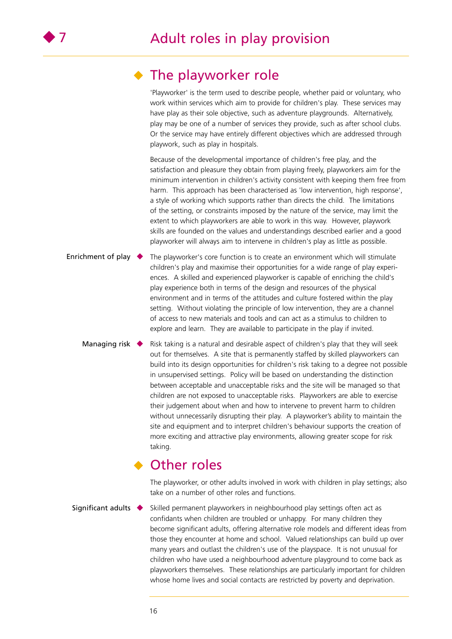

# ◆ The playworker role

'Playworker' is the term used to describe people, whether paid or voluntary, who work within services which aim to provide for children's play. These services may have play as their sole objective, such as adventure playgrounds. Alternatively, play may be one of a number of services they provide, such as after school clubs. Or the service may have entirely different objectives which are addressed through playwork, such as play in hospitals.

Because of the developmental importance of children's free play, and the satisfaction and pleasure they obtain from playing freely, playworkers aim for the minimum intervention in children's activity consistent with keeping them free from harm. This approach has been characterised as 'low intervention, high response', a style of working which supports rather than directs the child. The limitations of the setting, or constraints imposed by the nature of the service, may limit the extent to which playworkers are able to work in this way. However, playwork skills are founded on the values and understandings described earlier and a good playworker will always aim to intervene in children's play as little as possible.

Enrichment of play  $\blacklozenge$ The playworker's core function is to create an environment which will stimulate children's play and maximise their opportunities for a wide range of play experiences. A skilled and experienced playworker is capable of enriching the child's play experience both in terms of the design and resources of the physical environment and in terms of the attitudes and culture fostered within the play setting. Without violating the principle of low intervention, they are a channel of access to new materials and tools and can act as a stimulus to children to explore and learn. They are available to participate in the play if invited.

Managing risk  $\blacklozenge$ Risk taking is a natural and desirable aspect of children's play that they will seek out for themselves. A site that is permanently staffed by skilled playworkers can build into its design opportunities for children's risk taking to a degree not possible in unsupervised settings. Policy will be based on understanding the distinction between acceptable and unacceptable risks and the site will be managed so that children are not exposed to unacceptable risks. Playworkers are able to exercise their judgement about when and how to intervene to prevent harm to children without unnecessarily disrupting their play. A playworker's ability to maintain the site and equipment and to interpret children's behaviour supports the creation of more exciting and attractive play environments, allowing greater scope for risk taking.

# ◆ Other roles

The playworker, or other adults involved in work with children in play settings; also take on a number of other roles and functions.

Significant adults  $\blacklozenge$ Skilled permanent playworkers in neighbourhood play settings often act as confidants when children are troubled or unhappy. For many children they become significant adults, offering alternative role models and different ideas from those they encounter at home and school. Valued relationships can build up over many years and outlast the children's use of the playspace. It is not unusual for children who have used a neighbourhood adventure playground to come back as playworkers themselves. These relationships are particularly important for children whose home lives and social contacts are restricted by poverty and deprivation.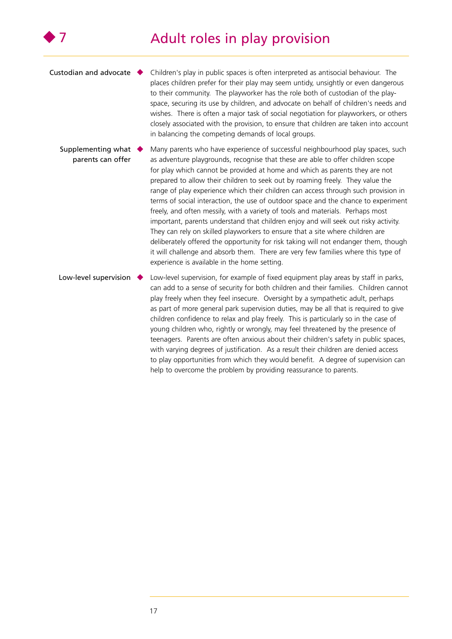

- Custodian and advocate  $\blacklozenge$  Children's play in public spaces is often interpreted as antisocial behaviour. The places children prefer for their play may seem untidy, unsightly or even dangerous to their community. The playworker has the role both of custodian of the playspace, securing its use by children, and advocate on behalf of children's needs and wishes. There is often a major task of social negotiation for playworkers, or others closely associated with the provision, to ensure that children are taken into account in balancing the competing demands of local groups.
	- Supplementing what  $\blacklozenge$ parents can offer Many parents who have experience of successful neighbourhood play spaces, such as adventure playgrounds, recognise that these are able to offer children scope for play which cannot be provided at home and which as parents they are not prepared to allow their children to seek out by roaming freely. They value the range of play experience which their children can access through such provision in terms of social interaction, the use of outdoor space and the chance to experiment freely, and often messily, with a variety of tools and materials. Perhaps most important, parents understand that children enjoy and will seek out risky activity. They can rely on skilled playworkers to ensure that a site where children are deliberately offered the opportunity for risk taking will not endanger them, though it will challenge and absorb them. There are very few families where this type of experience is available in the home setting.
	- Low-level supervision  $\blacklozenge$ Low-level supervision, for example of fixed equipment play areas by staff in parks, can add to a sense of security for both children and their families. Children cannot play freely when they feel insecure. Oversight by a sympathetic adult, perhaps as part of more general park supervision duties, may be all that is required to give children confidence to relax and play freely. This is particularly so in the case of young children who, rightly or wrongly, may feel threatened by the presence of teenagers. Parents are often anxious about their children's safety in public spaces, with varying degrees of justification. As a result their children are denied access to play opportunities from which they would benefit. A degree of supervision can help to overcome the problem by providing reassurance to parents.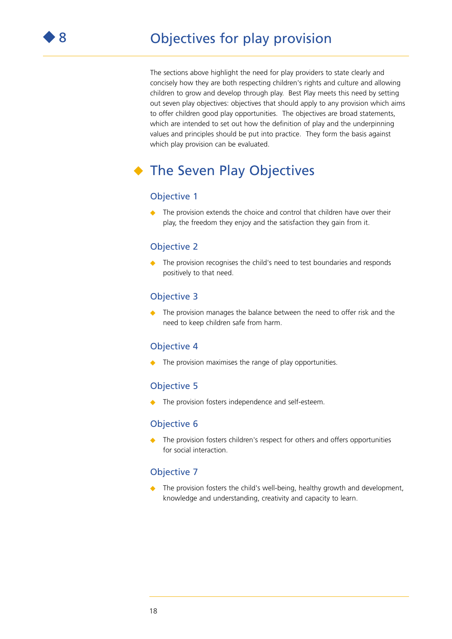The sections above highlight the need for play providers to state clearly and concisely how they are both respecting children's rights and culture and allowing children to grow and develop through play. Best Play meets this need by setting out seven play objectives: objectives that should apply to any provision which aims to offer children good play opportunities. The objectives are broad statements, which are intended to set out how the definition of play and the underpinning values and principles should be put into practice. They form the basis against which play provision can be evaluated.

# ◆ The Seven Play Objectives

# Objective 1

◆ The provision extends the choice and control that children have over their play, the freedom they enjoy and the satisfaction they gain from it.

# Objective 2

The provision recognises the child's need to test boundaries and responds positively to that need.

# Objective 3

The provision manages the balance between the need to offer risk and the need to keep children safe from harm.

### Objective 4

◆ The provision maximises the range of play opportunities.

### Objective 5

The provision fosters independence and self-esteem.

### Objective 6

◆ The provision fosters children's respect for others and offers opportunities for social interaction.

# Objective 7

The provision fosters the child's well-being, healthy growth and development, knowledge and understanding, creativity and capacity to learn.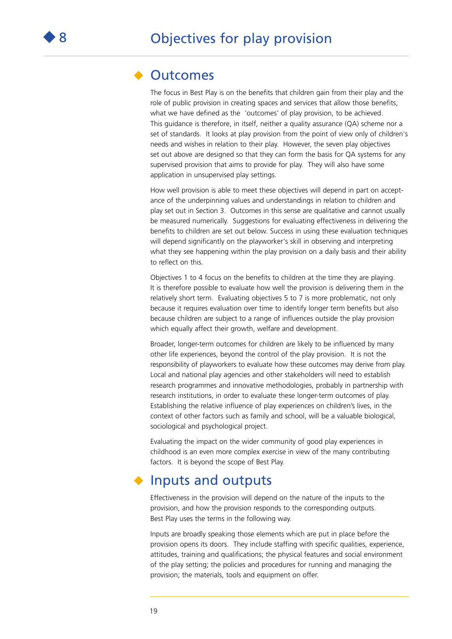

# ◆ Outcomes

The focus in Best Play is on the benefits that children gain from their play and the role of public provision in creating spaces and services that allow those benefits, what we have defined as the 'outcomes' of play provision, to be achieved. This guidance is therefore, in itself, neither a quality assurance (QA) scheme nor a set of standards. It looks at play provision from the point of view only of children's needs and wishes in relation to their play. However, the seven play objectives set out above are designed so that they can form the basis for QA systems for any supervised provision that aims to provide for play. They will also have some application in unsupervised play settings.

How well provision is able to meet these objectives will depend in part on acceptance of the underpinning values and understandings in relation to children and play set out in Section 3. Outcomes in this sense are qualitative and cannot usually be measured numerically. Suggestions for evaluating effectiveness in delivering the benefits to children are set out below. Success in using these evaluation techniques will depend significantly on the playworker's skill in observing and interpreting what they see happening within the play provision on a daily basis and their ability to reflect on this.

Objectives 1 to 4 focus on the benefits to children at the time they are playing. It is therefore possible to evaluate how well the provision is delivering them in the relatively short term. Evaluating objectives 5 to 7 is more problematic, not only because it requires evaluation over time to identify longer term benefits but also because children are subject to a range of influences outside the play provision which equally affect their growth, welfare and development.

Broader, longer-term outcomes for children are likely to be influenced by many other life experiences, beyond the control of the play provision. It is not the responsibility of playworkers to evaluate how these outcomes may derive from play. Local and national play agencies and other stakeholders will need to establish research programmes and innovative methodologies, probably in partnership with research institutions, in order to evaluate these longer-term outcomes of play. Establishing the relative influence of play experiences on children's lives, in the context of other factors such as family and school, will be a valuable biological, sociological and psychological project.

Evaluating the impact on the wider community of good play experiences in childhood is an even more complex exercise in view of the many contributing factors. It is beyond the scope of Best Play.

# Inputs and outputs

Effectiveness in the provision will depend on the nature of the inputs to the provision, and how the provision responds to the corresponding outputs. Best Play uses the terms in the following way.

Inputs are broadly speaking those elements which are put in place before the provision opens its doors. They include staffing with specific qualities, experience, attitudes, training and qualifications; the physical features and social environment of the play setting; the policies and procedures for running and managing the provision; the materials, tools and equipment on offer.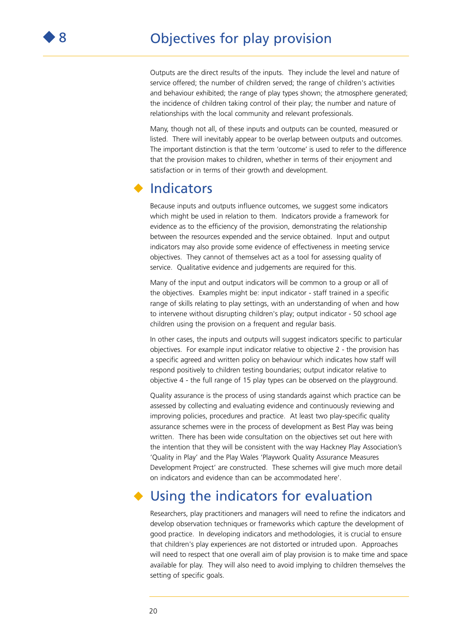Outputs are the direct results of the inputs. They include the level and nature of service offered; the number of children served; the range of children's activities and behaviour exhibited; the range of play types shown; the atmosphere generated; the incidence of children taking control of their play; the number and nature of relationships with the local community and relevant professionals.

Many, though not all, of these inputs and outputs can be counted, measured or listed. There will inevitably appear to be overlap between outputs and outcomes. The important distinction is that the term 'outcome' is used to refer to the difference that the provision makes to children, whether in terms of their enjoyment and satisfaction or in terms of their growth and development.

# Indicators

Because inputs and outputs influence outcomes, we suggest some indicators which might be used in relation to them. Indicators provide a framework for evidence as to the efficiency of the provision, demonstrating the relationship between the resources expended and the service obtained. Input and output indicators may also provide some evidence of effectiveness in meeting service objectives. They cannot of themselves act as a tool for assessing quality of service. Qualitative evidence and judgements are required for this.

Many of the input and output indicators will be common to a group or all of the objectives. Examples might be: input indicator - staff trained in a specific range of skills relating to play settings, with an understanding of when and how to intervene without disrupting children's play; output indicator - 50 school age children using the provision on a frequent and regular basis.

In other cases, the inputs and outputs will suggest indicators specific to particular objectives. For example input indicator relative to objective 2 - the provision has a specific agreed and written policy on behaviour which indicates how staff will respond positively to children testing boundaries; output indicator relative to objective 4 - the full range of 15 play types can be observed on the playground.

Quality assurance is the process of using standards against which practice can be assessed by collecting and evaluating evidence and continuously reviewing and improving policies, procedures and practice. At least two play-specific quality assurance schemes were in the process of development as Best Play was being written. There has been wide consultation on the objectives set out here with the intention that they will be consistent with the way Hackney Play Association's 'Quality in Play' and the Play Wales 'Playwork Quality Assurance Measures Development Project' are constructed. These schemes will give much more detail on indicators and evidence than can be accommodated here'.

# Using the indicators for evaluation

Researchers, play practitioners and managers will need to refine the indicators and develop observation techniques or frameworks which capture the development of good practice. In developing indicators and methodologies, it is crucial to ensure that children's play experiences are not distorted or intruded upon. Approaches will need to respect that one overall aim of play provision is to make time and space available for play. They will also need to avoid implying to children themselves the setting of specific goals.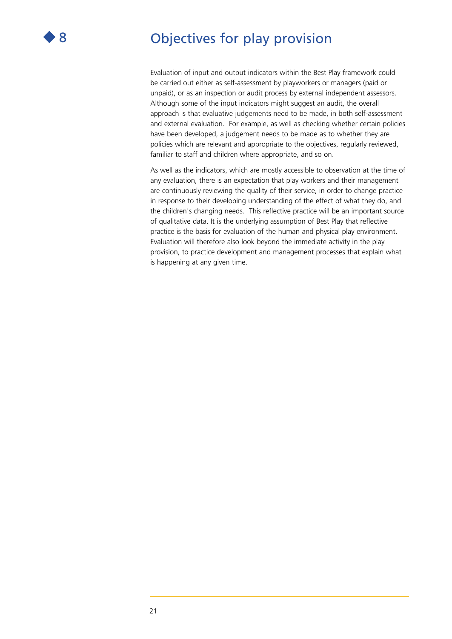Evaluation of input and output indicators within the Best Play framework could be carried out either as self-assessment by playworkers or managers (paid or unpaid), or as an inspection or audit process by external independent assessors. Although some of the input indicators might suggest an audit, the overall approach is that evaluative judgements need to be made, in both self-assessment and external evaluation. For example, as well as checking whether certain policies have been developed, a judgement needs to be made as to whether they are policies which are relevant and appropriate to the objectives, regularly reviewed, familiar to staff and children where appropriate, and so on.

As well as the indicators, which are mostly accessible to observation at the time of any evaluation, there is an expectation that play workers and their management are continuously reviewing the quality of their service, in order to change practice in response to their developing understanding of the effect of what they do, and the children's changing needs. This reflective practice will be an important source of qualitative data. It is the underlying assumption of Best Play that reflective practice is the basis for evaluation of the human and physical play environment. Evaluation will therefore also look beyond the immediate activity in the play provision, to practice development and management processes that explain what is happening at any given time.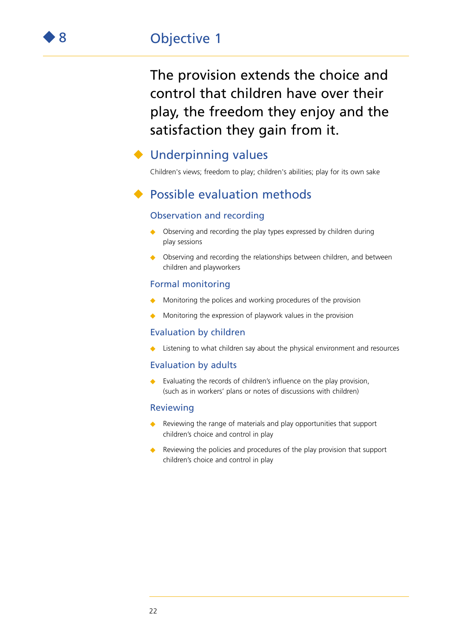# 8 Objective 1

The provision extends the choice and control that children have over their play, the freedom they enjoy and the satisfaction they gain from it.

# ◆ Underpinning values

Children's views; freedom to play; children's abilities; play for its own sake

# ◆ Possible evaluation methods

# Observation and recording

- Observing and recording the play types expressed by children during play sessions
- ◆ Observing and recording the relationships between children, and between children and playworkers

# Formal monitoring

- Monitoring the polices and working procedures of the provision
- ◆ Monitoring the expression of playwork values in the provision

### Evaluation by children

◆ Listening to what children say about the physical environment and resources

# Evaluation by adults

◆ Evaluating the records of children's influence on the play provision, (such as in workers' plans or notes of discussions with children)

# Reviewing

- Reviewing the range of materials and play opportunities that support children's choice and control in play
- ◆ Reviewing the policies and procedures of the play provision that support children's choice and control in play

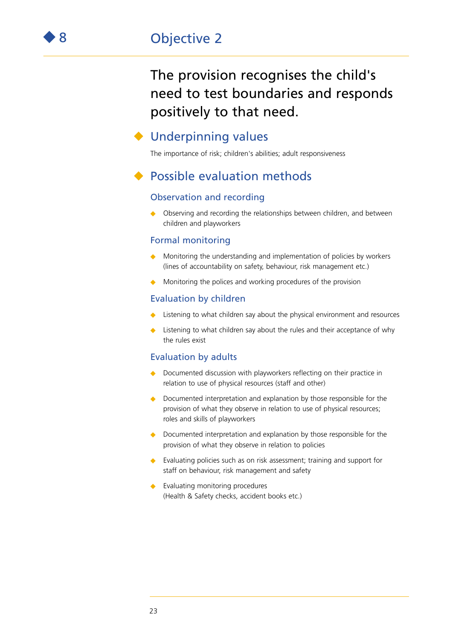The provision recognises the child's need to test boundaries and responds positively to that need.

# ◆ Underpinning values

The importance of risk; children's abilities; adult responsiveness

# ◆ Possible evaluation methods

# Observation and recording

◆ Observing and recording the relationships between children, and between children and playworkers

# Formal monitoring

- Monitoring the understanding and implementation of policies by workers (lines of accountability on safety, behaviour, risk management etc.)
- ◆ Monitoring the polices and working procedures of the provision

# Evaluation by children

- Listening to what children say about the physical environment and resources
- Listening to what children say about the rules and their acceptance of why the rules exist

# Evaluation by adults

- Documented discussion with playworkers reflecting on their practice in relation to use of physical resources (staff and other)
- ◆ Documented interpretation and explanation by those responsible for the provision of what they observe in relation to use of physical resources; roles and skills of playworkers
- ◆ Documented interpretation and explanation by those responsible for the provision of what they observe in relation to policies
- ◆ Evaluating policies such as on risk assessment; training and support for staff on behaviour, risk management and safety
- ◆ Evaluating monitoring procedures (Health & Safety checks, accident books etc.)

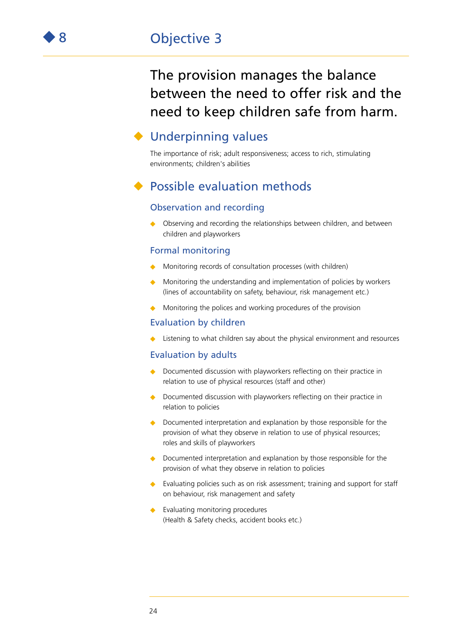The provision manages the balance between the need to offer risk and the need to keep children safe from harm.

# ◆ Underpinning values

The importance of risk; adult responsiveness; access to rich, stimulating environments; children's abilities

# ◆ Possible evaluation methods

# Observation and recording

Observing and recording the relationships between children, and between children and playworkers

# Formal monitoring

- Monitoring records of consultation processes (with children)
- ◆ Monitoring the understanding and implementation of policies by workers (lines of accountability on safety, behaviour, risk management etc.)
- ◆ Monitoring the polices and working procedures of the provision

# Evaluation by children

◆ Listening to what children say about the physical environment and resources

### Evaluation by adults

- ◆ Documented discussion with playworkers reflecting on their practice in relation to use of physical resources (staff and other)
- ◆ Documented discussion with playworkers reflecting on their practice in relation to policies
- ◆ Documented interpretation and explanation by those responsible for the provision of what they observe in relation to use of physical resources; roles and skills of playworkers
- ◆ Documented interpretation and explanation by those responsible for the provision of what they observe in relation to policies
- ◆ Evaluating policies such as on risk assessment; training and support for staff on behaviour, risk management and safety
- ◆ Evaluating monitoring procedures (Health & Safety checks, accident books etc.)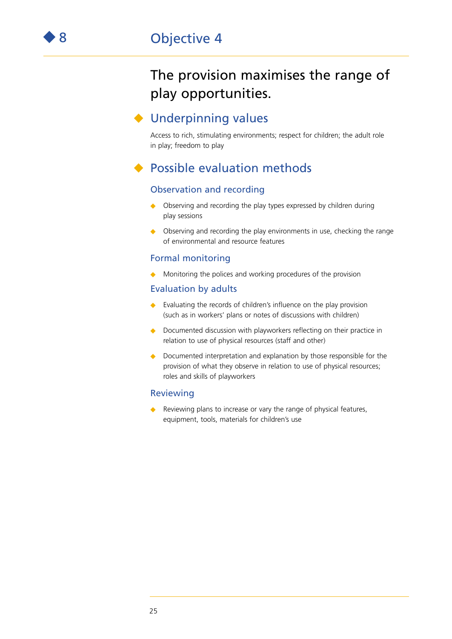# The provision maximises the range of play opportunities.

# ◆ Underpinning values

Access to rich, stimulating environments; respect for children; the adult role in play; freedom to play

# ◆ Possible evaluation methods

# Observation and recording

- Observing and recording the play types expressed by children during play sessions
- ◆ Observing and recording the play environments in use, checking the range of environmental and resource features

# Formal monitoring

Monitoring the polices and working procedures of the provision

# Evaluation by adults

- ◆ Evaluating the records of children's influence on the play provision (such as in workers' plans or notes of discussions with children)
- ◆ Documented discussion with playworkers reflecting on their practice in relation to use of physical resources (staff and other)
- ◆ Documented interpretation and explanation by those responsible for the provision of what they observe in relation to use of physical resources; roles and skills of playworkers

# Reviewing

Reviewing plans to increase or vary the range of physical features, equipment, tools, materials for children's use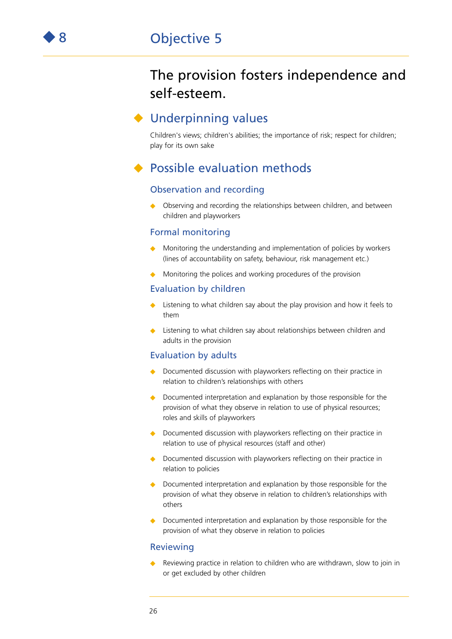# The provision fosters independence and self-esteem.

# ◆ Underpinning values

Children's views; children's abilities; the importance of risk; respect for children; play for its own sake

# ◆ Possible evaluation methods

# Observation and recording

Observing and recording the relationships between children, and between children and playworkers

# Formal monitoring

- Monitoring the understanding and implementation of policies by workers (lines of accountability on safety, behaviour, risk management etc.)
- ◆ Monitoring the polices and working procedures of the provision

### Evaluation by children

- ◆ Listening to what children say about the play provision and how it feels to them
- ◆ Listening to what children say about relationships between children and adults in the provision

### Evaluation by adults

- ◆ Documented discussion with playworkers reflecting on their practice in relation to children's relationships with others
- ◆ Documented interpretation and explanation by those responsible for the provision of what they observe in relation to use of physical resources; roles and skills of playworkers
- ◆ Documented discussion with playworkers reflecting on their practice in relation to use of physical resources (staff and other)
- ◆ Documented discussion with playworkers reflecting on their practice in relation to policies
- ◆ Documented interpretation and explanation by those responsible for the provision of what they observe in relation to children's relationships with others
- ◆ Documented interpretation and explanation by those responsible for the provision of what they observe in relation to policies

### Reviewing

Reviewing practice in relation to children who are withdrawn, slow to join in or get excluded by other children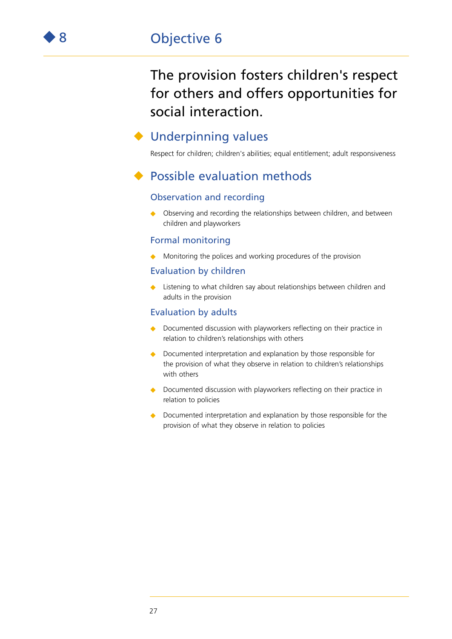The provision fosters children's respect for others and offers opportunities for social interaction.

# ◆ Underpinning values

Respect for children; children's abilities; equal entitlement; adult responsiveness

# ◆ Possible evaluation methods

# Observation and recording

◆ Observing and recording the relationships between children, and between children and playworkers

# Formal monitoring

Monitoring the polices and working procedures of the provision

# Evaluation by children

◆ Listening to what children say about relationships between children and adults in the provision

# Evaluation by adults

- ◆ Documented discussion with playworkers reflecting on their practice in relation to children's relationships with others
- ◆ Documented interpretation and explanation by those responsible for the provision of what they observe in relation to children's relationships with others
- ◆ Documented discussion with playworkers reflecting on their practice in relation to policies
- ◆ Documented interpretation and explanation by those responsible for the provision of what they observe in relation to policies

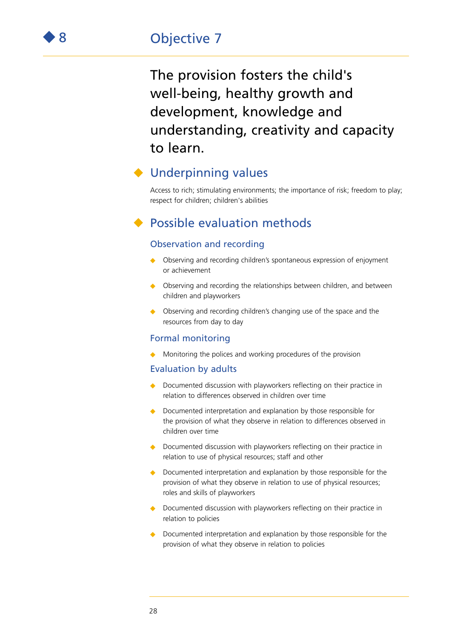# 8 Objective 7

The provision fosters the child's well-being, healthy growth and development, knowledge and understanding, creativity and capacity to learn.

# ◆ Underpinning values

Access to rich; stimulating environments; the importance of risk; freedom to play; respect for children; children's abilities

# ◆ Possible evaluation methods

# Observation and recording

- ◆ Observing and recording children's spontaneous expression of enjoyment or achievement
- ◆ Observing and recording the relationships between children, and between children and playworkers
- ◆ Observing and recording children's changing use of the space and the resources from day to day

# Formal monitoring

◆ Monitoring the polices and working procedures of the provision

### Evaluation by adults

- ◆ Documented discussion with playworkers reflecting on their practice in relation to differences observed in children over time
- ◆ Documented interpretation and explanation by those responsible for the provision of what they observe in relation to differences observed in children over time
- ◆ Documented discussion with playworkers reflecting on their practice in relation to use of physical resources; staff and other
- ◆ Documented interpretation and explanation by those responsible for the provision of what they observe in relation to use of physical resources; roles and skills of playworkers
- ◆ Documented discussion with playworkers reflecting on their practice in relation to policies
- ◆ Documented interpretation and explanation by those responsible for the provision of what they observe in relation to policies

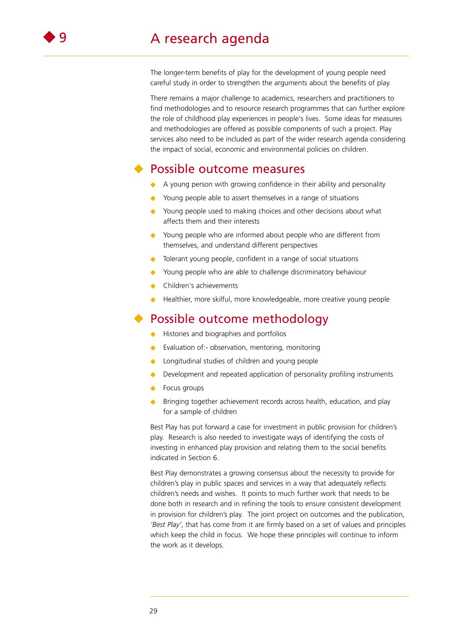9

The longer-term benefits of play for the development of young people need careful study in order to strengthen the arguments about the benefits of play.

There remains a major challenge to academics, researchers and practitioners to find methodologies and to resource research programmes that can further explore the role of childhood play experiences in people's lives. Some ideas for measures and methodologies are offered as possible components of such a project. Play services also need to be included as part of the wider research agenda considering the impact of social, economic and environmental policies on children.

# Possible outcome measures

- ◆ A young person with growing confidence in their ability and personality
- ◆ Young people able to assert themselves in a range of situations
- ◆ Young people used to making choices and other decisions about what affects them and their interests
- ◆ Young people who are informed about people who are different from themselves, and understand different perspectives
- ◆ Tolerant young people, confident in a range of social situations
- ◆ Young people who are able to challenge discriminatory behaviour
- ◆ Children's achievements
- ◆ Healthier, more skilful, more knowledgeable, more creative young people

# Possible outcome methodology

- ◆ Histories and biographies and portfolios
- ◆ Evaluation of:- observation, mentoring, monitoring
- ◆ Longitudinal studies of children and young people
- ◆ Development and repeated application of personality profiling instruments
- ◆ Focus groups
- ◆ Bringing together achievement records across health, education, and play for a sample of children

Best Play has put forward a case for investment in public provision for children's play. Research is also needed to investigate ways of identifying the costs of investing in enhanced play provision and relating them to the social benefits indicated in Section 6.

Best Play demonstrates a growing consensus about the necessity to provide for children's play in public spaces and services in a way that adequately reflects children's needs and wishes. It points to much further work that needs to be done both in research and in refining the tools to ensure consistent development in provision for children's play. The joint project on outcomes and the publication, *'Best Play'*, that has come from it are firmly based on a set of values and principles which keep the child in focus. We hope these principles will continue to inform the work as it develops.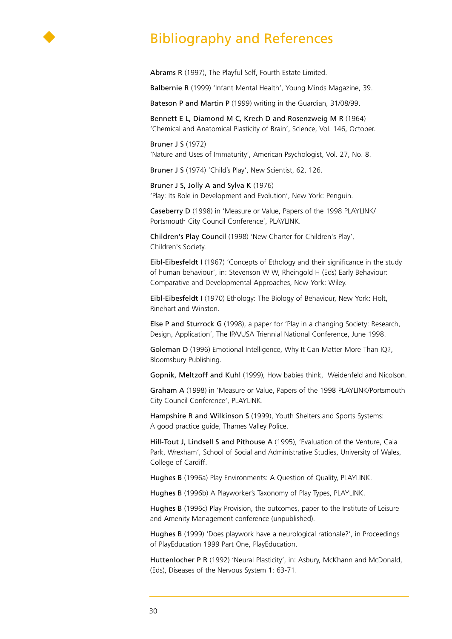

Abrams R (1997), The Playful Self, Fourth Estate Limited.

Balbernie R (1999) 'Infant Mental Health', Young Minds Magazine, 39.

Bateson P and Martin P (1999) writing in the Guardian, 31/08/99.

Bennett E L, Diamond M C, Krech D and Rosenzweig M R (1964) 'Chemical and Anatomical Plasticity of Brain', Science, Vol. 146, October.

Bruner J S (1972) 'Nature and Uses of Immaturity', American Psychologist, Vol. 27, No. 8.

Bruner J S (1974) 'Child's Play', New Scientist, 62, 126.

Bruner J S, Jolly A and Sylva K (1976) 'Play: Its Role in Development and Evolution', New York: Penguin.

Caseberry D (1998) in 'Measure or Value, Papers of the 1998 PLAYLINK/ Portsmouth City Council Conference', PLAYLINK.

Children's Play Council (1998) 'New Charter for Children's Play', Children's Society.

Eibl-Eibesfeldt I (1967) 'Concepts of Ethology and their significance in the study of human behaviour', in: Stevenson W W, Rheingold H (Eds) Early Behaviour: Comparative and Developmental Approaches, New York: Wiley.

Eibl-Eibesfeldt I (1970) Ethology: The Biology of Behaviour, New York: Holt, Rinehart and Winston.

Else P and Sturrock G (1998), a paper for 'Play in a changing Society: Research, Design, Application', The IPA/USA Triennial National Conference, June 1998.

Goleman D (1996) Emotional Intelligence, Why It Can Matter More Than IQ?, Bloomsbury Publishing.

Gopnik, Meltzoff and Kuhl (1999), How babies think, Weidenfeld and Nicolson.

Graham A (1998) in 'Measure or Value, Papers of the 1998 PLAYLINK/Portsmouth City Council Conference', PLAYLINK.

Hampshire R and Wilkinson S (1999), Youth Shelters and Sports Systems: A good practice guide, Thames Valley Police.

Hill-Tout J, Lindsell S and Pithouse A (1995), 'Evaluation of the Venture, Caia Park, Wrexham', School of Social and Administrative Studies, University of Wales, College of Cardiff.

Hughes B (1996a) Play Environments: A Question of Quality, PLAYLINK.

Hughes B (1996b) A Playworker's Taxonomy of Play Types, PLAYLINK.

Hughes B (1996c) Play Provision, the outcomes, paper to the Institute of Leisure and Amenity Management conference (unpublished).

Hughes B (1999) 'Does playwork have a neurological rationale?', in Proceedings of PlayEducation 1999 Part One, PlayEducation.

Huttenlocher P R (1992) 'Neural Plasticity', in: Asbury, McKhann and McDonald, (Eds), Diseases of the Nervous System 1: 63-71.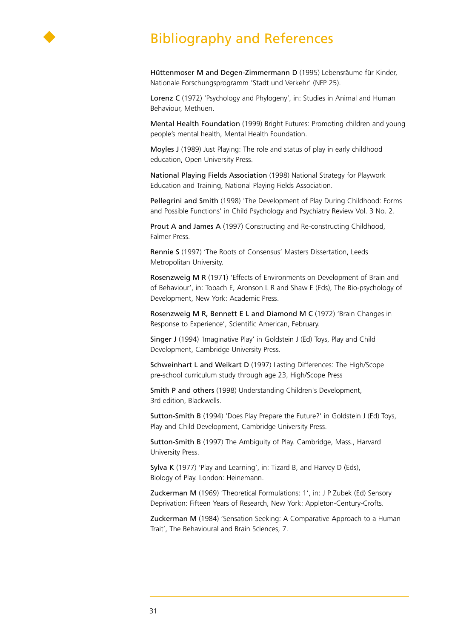

Hüttenmoser M and Degen-Zimmermann D (1995) Lebensräume für Kinder, Nationale Forschungsprogramm 'Stadt und Verkehr' (NFP 25).

Lorenz C (1972) 'Psychology and Phylogeny', in: Studies in Animal and Human Behaviour, Methuen.

Mental Health Foundation (1999) Bright Futures: Promoting children and young people's mental health, Mental Health Foundation.

Moyles J (1989) Just Playing: The role and status of play in early childhood education, Open University Press.

National Playing Fields Association (1998) National Strategy for Playwork Education and Training, National Playing Fields Association.

Pellegrini and Smith (1998) 'The Development of Play During Childhood: Forms and Possible Functions' in Child Psychology and Psychiatry Review Vol. 3 No. 2.

Prout A and James A (1997) Constructing and Re-constructing Childhood, Falmer Press.

Rennie S (1997) 'The Roots of Consensus' Masters Dissertation, Leeds Metropolitan University.

Rosenzweig M R (1971) 'Effects of Environments on Development of Brain and of Behaviour', in: Tobach E, Aronson L R and Shaw E (Eds), The Bio-psychology of Development, New York: Academic Press.

Rosenzweig M R, Bennett E L and Diamond M C (1972) 'Brain Changes in Response to Experience', Scientific American, February.

Singer J (1994) 'Imaginative Play' in Goldstein J (Ed) Toys, Play and Child Development, Cambridge University Press.

Schweinhart L and Weikart D (1997) Lasting Differences: The High/Scope pre-school curriculum study through age 23, High/Scope Press

Smith P and others (1998) Understanding Children's Development, 3rd edition, Blackwells.

Sutton-Smith B (1994) 'Does Play Prepare the Future?' in Goldstein J (Ed) Toys, Play and Child Development, Cambridge University Press.

Sutton-Smith B (1997) The Ambiguity of Play. Cambridge, Mass., Harvard University Press.

Sylva K (1977) 'Play and Learning', in: Tizard B, and Harvey D (Eds), Biology of Play. London: Heinemann.

Zuckerman M (1969) 'Theoretical Formulations: 1', in: J P Zubek (Ed) Sensory Deprivation: Fifteen Years of Research, New York: Appleton-Century-Crofts.

Zuckerman M (1984) 'Sensation Seeking: A Comparative Approach to a Human Trait', The Behavioural and Brain Sciences, 7.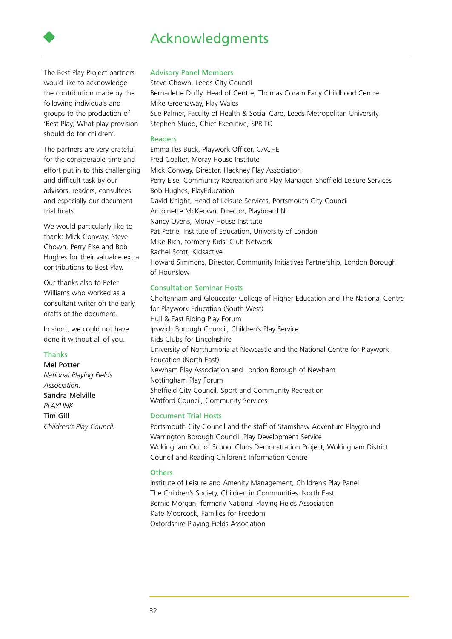

The Best Play Project partners would like to acknowledge the contribution made by the following individuals and groups to the production of 'Best Play; What play provision should do for children'.

The partners are very grateful for the considerable time and effort put in to this challenging and difficult task by our advisors, readers, consultees and especially our document trial hosts.

We would particularly like to thank: Mick Conway, Steve Chown, Perry Else and Bob Hughes for their valuable extra contributions to Best Play.

Our thanks also to Peter Williams who worked as a consultant writer on the early drafts of the document.

In short, we could not have done it without all of you.

### Thanks

Mel Potter *National Playing Fields Association.* Sandra Melville *PLAYLINK.*  Tim Gill *Children's Play Council.*

### Advisory Panel Members

Steve Chown, Leeds City Council Bernadette Duffy, Head of Centre, Thomas Coram Early Childhood Centre Mike Greenaway, Play Wales Sue Palmer, Faculty of Health & Social Care, Leeds Metropolitan University Stephen Studd, Chief Executive, SPRITO

### Readers

Emma Iles Buck, Playwork Officer, CACHE Fred Coalter, Moray House Institute Mick Conway, Director, Hackney Play Association Perry Else, Community Recreation and Play Manager, Sheffield Leisure Services Bob Hughes, PlayEducation David Knight, Head of Leisure Services, Portsmouth City Council Antoinette McKeown, Director, Playboard NI Nancy Ovens, Moray House Institute Pat Petrie, Institute of Education, University of London Mike Rich, formerly Kids' Club Network Rachel Scott, Kidsactive Howard Simmons, Director, Community Initiatives Partnership, London Borough of Hounslow

### Consultation Seminar Hosts

Cheltenham and Gloucester College of Higher Education and The National Centre for Playwork Education (South West) Hull & East Riding Play Forum Ipswich Borough Council, Children's Play Service Kids Clubs for Lincolnshire University of Northumbria at Newcastle and the National Centre for Playwork Education (North East) Newham Play Association and London Borough of Newham Nottingham Play Forum Sheffield City Council, Sport and Community Recreation Watford Council, Community Services

### Document Trial Hosts

Portsmouth City Council and the staff of Stamshaw Adventure Playground Warrington Borough Council, Play Development Service Wokingham Out of School Clubs Demonstration Project, Wokingham District Council and Reading Children's Information Centre

### **Others**

Institute of Leisure and Amenity Management, Children's Play Panel The Children's Society, Children in Communities: North East Bernie Morgan, formerly National Playing Fields Association Kate Moorcock, Families for Freedom Oxfordshire Playing Fields Association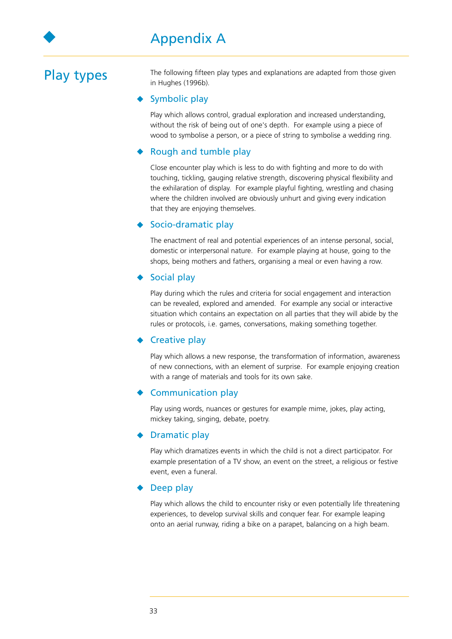# Appendix A

Play types The following fifteen play types and explanations are adapted from those given in Hughes (1996b).

# $\bullet$  Symbolic play

Play which allows control, gradual exploration and increased understanding, without the risk of being out of one's depth. For example using a piece of wood to symbolise a person, or a piece of string to symbolise a wedding ring.

# ◆ Rough and tumble play

Close encounter play which is less to do with fighting and more to do with touching, tickling, gauging relative strength, discovering physical flexibility and the exhilaration of display. For example playful fighting, wrestling and chasing where the children involved are obviously unhurt and giving every indication that they are enjoying themselves.

### Socio-dramatic play

The enactment of real and potential experiences of an intense personal, social, domestic or interpersonal nature. For example playing at house, going to the shops, being mothers and fathers, organising a meal or even having a row.

### $\triangle$  Social play

Play during which the rules and criteria for social engagement and interaction can be revealed, explored and amended. For example any social or interactive situation which contains an expectation on all parties that they will abide by the rules or protocols, i.e. games, conversations, making something together.

### $\triangleleft$  Creative play

Play which allows a new response, the transformation of information, awareness of new connections, with an element of surprise. For example enjoying creation with a range of materials and tools for its own sake.

### ◆ Communication play

Play using words, nuances or gestures for example mime, jokes, play acting, mickey taking, singing, debate, poetry.

### ◆ Dramatic play

Play which dramatizes events in which the child is not a direct participator. For example presentation of a TV show, an event on the street, a religious or festive event, even a funeral.

### Deep play

Play which allows the child to encounter risky or even potentially life threatening experiences, to develop survival skills and conquer fear. For example leaping onto an aerial runway, riding a bike on a parapet, balancing on a high beam.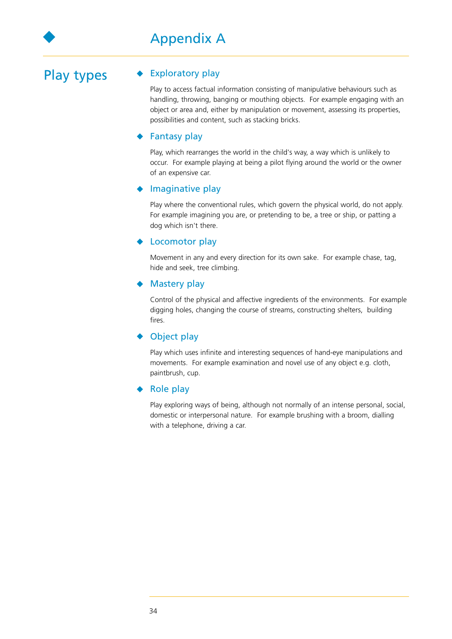

Play types

# Exploratory play

Play to access factual information consisting of manipulative behaviours such as handling, throwing, banging or mouthing objects. For example engaging with an object or area and, either by manipulation or movement, assessing its properties, possibilities and content, such as stacking bricks.

# ◆ Fantasy play

Play, which rearranges the world in the child's way, a way which is unlikely to occur. For example playing at being a pilot flying around the world or the owner of an expensive car.

# Imaginative play

Play where the conventional rules, which govern the physical world, do not apply. For example imagining you are, or pretending to be, a tree or ship, or patting a dog which isn't there.

# **Locomotor play**

Movement in any and every direction for its own sake. For example chase, tag, hide and seek, tree climbing.

# ◆ Mastery play

Control of the physical and affective ingredients of the environments. For example digging holes, changing the course of streams, constructing shelters, building fires.

# ◆ Object play

Play which uses infinite and interesting sequences of hand-eye manipulations and movements. For example examination and novel use of any object e.g. cloth, paintbrush, cup.

# Role play

Play exploring ways of being, although not normally of an intense personal, social, domestic or interpersonal nature. For example brushing with a broom, dialling with a telephone, driving a car.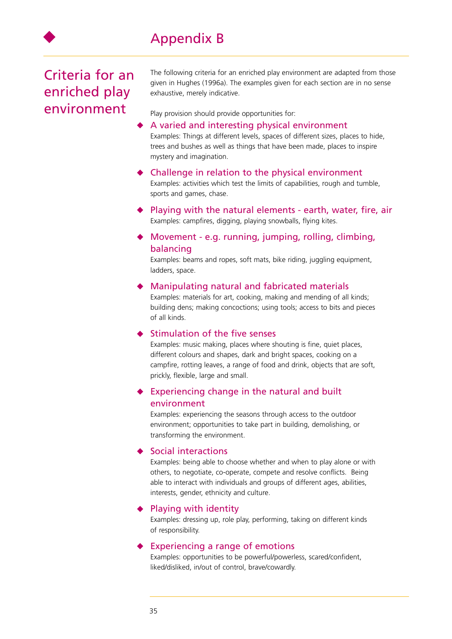# Criteria for an enriched play environment

The following criteria for an enriched play environment are adapted from those given in Hughes (1996a). The examples given for each section are in no sense exhaustive, merely indicative.

Play provision should provide opportunities for:

- A varied and interesting physical environment Examples: Things at different levels, spaces of different sizes, places to hide, trees and bushes as well as things that have been made, places to inspire mystery and imagination.
- Challenge in relation to the physical environment Examples: activities which test the limits of capabilities, rough and tumble, sports and games, chase.
- ◆ Playing with the natural elements earth, water, fire, air Examples: campfires, digging, playing snowballs, flying kites.
- Movement e.g. running, jumping, rolling, climbing, balancing

Examples: beams and ropes, soft mats, bike riding, juggling equipment, ladders, space.

# Manipulating natural and fabricated materials

Examples: materials for art, cooking, making and mending of all kinds; building dens; making concoctions; using tools; access to bits and pieces of all kinds.

# Stimulation of the five senses

Examples: music making, places where shouting is fine, quiet places, different colours and shapes, dark and bright spaces, cooking on a campfire, rotting leaves, a range of food and drink, objects that are soft, prickly, flexible, large and small.

# ◆ Experiencing change in the natural and built environment

Examples: experiencing the seasons through access to the outdoor environment; opportunities to take part in building, demolishing, or transforming the environment.

# ◆ Social interactions

Examples: being able to choose whether and when to play alone or with others, to negotiate, co-operate, compete and resolve conflicts. Being able to interact with individuals and groups of different ages, abilities, interests, gender, ethnicity and culture.

### $\blacklozenge$  Playing with identity

Examples: dressing up, role play, performing, taking on different kinds of responsibility.

### Experiencing a range of emotions

Examples: opportunities to be powerful/powerless, scared/confident, liked/disliked, in/out of control, brave/cowardly.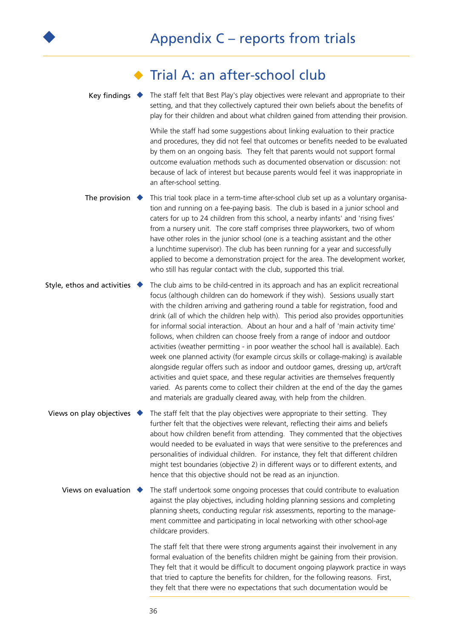# ◆ Trial A: an after-school club

Key findings  $\blacklozenge$  The staff felt that Best Play's play objectives were relevant and appropriate to their setting, and that they collectively captured their own beliefs about the benefits of play for their children and about what children gained from attending their provision.

> While the staff had some suggestions about linking evaluation to their practice and procedures, they did not feel that outcomes or benefits needed to be evaluated by them on an ongoing basis. They felt that parents would not support formal outcome evaluation methods such as documented observation or discussion: not because of lack of interest but because parents would feel it was inappropriate in an after-school setting.

The provision  $\blacklozenge$ This trial took place in a term-time after-school club set up as a voluntary organisation and running on a fee-paying basis. The club is based in a junior school and caters for up to 24 children from this school, a nearby infants' and 'rising fives' from a nursery unit. The core staff comprises three playworkers, two of whom have other roles in the junior school (one is a teaching assistant and the other a lunchtime supervisor). The club has been running for a year and successfully applied to become a demonstration project for the area. The development worker, who still has regular contact with the club, supported this trial.

Style, ethos and activities  $\blacklozenge$ The club aims to be child-centred in its approach and has an explicit recreational focus (although children can do homework if they wish). Sessions usually start with the children arriving and gathering round a table for registration, food and drink (all of which the children help with). This period also provides opportunities for informal social interaction. About an hour and a half of 'main activity time' follows, when children can choose freely from a range of indoor and outdoor activities (weather permitting - in poor weather the school hall is available). Each week one planned activity (for example circus skills or collage-making) is available alongside regular offers such as indoor and outdoor games, dressing up, art/craft activities and quiet space, and these regular activities are themselves frequently varied. As parents come to collect their children at the end of the day the games and materials are gradually cleared away, with help from the children.

Views on play objectives  $\blacklozenge$ The staff felt that the play objectives were appropriate to their setting. They further felt that the objectives were relevant, reflecting their aims and beliefs about how children benefit from attending. They commented that the objectives would needed to be evaluated in ways that were sensitive to the preferences and personalities of individual children. For instance, they felt that different children might test boundaries (objective 2) in different ways or to different extents, and hence that this objective should not be read as an injunction.

Views on evaluation  $\triangle$ The staff undertook some ongoing processes that could contribute to evaluation against the play objectives, including holding planning sessions and completing planning sheets, conducting regular risk assessments, reporting to the management committee and participating in local networking with other school-age childcare providers.

> The staff felt that there were strong arguments against their involvement in any formal evaluation of the benefits children might be gaining from their provision. They felt that it would be difficult to document ongoing playwork practice in ways that tried to capture the benefits for children, for the following reasons. First, they felt that there were no expectations that such documentation would be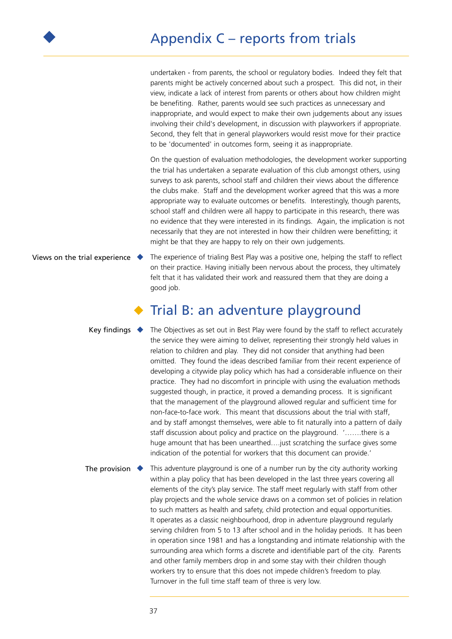

undertaken - from parents, the school or regulatory bodies. Indeed they felt that parents might be actively concerned about such a prospect. This did not, in their view, indicate a lack of interest from parents or others about how children might be benefiting. Rather, parents would see such practices as unnecessary and inappropriate, and would expect to make their own judgements about any issues involving their child's development, in discussion with playworkers if appropriate. Second, they felt that in general playworkers would resist move for their practice to be 'documented' in outcomes form, seeing it as inappropriate.

On the question of evaluation methodologies, the development worker supporting the trial has undertaken a separate evaluation of this club amongst others, using surveys to ask parents, school staff and children their views about the difference the clubs make. Staff and the development worker agreed that this was a more appropriate way to evaluate outcomes or benefits. Interestingly, though parents, school staff and children were all happy to participate in this research, there was no evidence that they were interested in its findings. Again, the implication is not necessarily that they are not interested in how their children were benefitting; it might be that they are happy to rely on their own judgements.

### Views on the trial experience  $\blacklozenge$ The experience of trialing Best Play was a positive one, helping the staff to reflect on their practice. Having initially been nervous about the process, they ultimately felt that it has validated their work and reassured them that they are doing a good job.

# ◆ Trial B: an adventure playground

Key findings  $\blacklozenge$ The Objectives as set out in Best Play were found by the staff to reflect accurately the service they were aiming to deliver, representing their strongly held values in relation to children and play. They did not consider that anything had been omitted. They found the ideas described familiar from their recent experience of developing a citywide play policy which has had a considerable influence on their practice. They had no discomfort in principle with using the evaluation methods suggested though, in practice, it proved a demanding process. It is significant that the management of the playground allowed regular and sufficient time for non-face-to-face work. This meant that discussions about the trial with staff, and by staff amongst themselves, were able to fit naturally into a pattern of daily staff discussion about policy and practice on the playground. '…….there is a huge amount that has been unearthed….just scratching the surface gives some indication of the potential for workers that this document can provide.'

The provision  $\blacklozenge$ This adventure playground is one of a number run by the city authority working within a play policy that has been developed in the last three years covering all elements of the city's play service. The staff meet regularly with staff from other play projects and the whole service draws on a common set of policies in relation to such matters as health and safety, child protection and equal opportunities. It operates as a classic neighbourhood, drop in adventure playground regularly serving children from 5 to 13 after school and in the holiday periods. It has been in operation since 1981 and has a longstanding and intimate relationship with the surrounding area which forms a discrete and identifiable part of the city. Parents and other family members drop in and some stay with their children though workers try to ensure that this does not impede children's freedom to play. Turnover in the full time staff team of three is very low.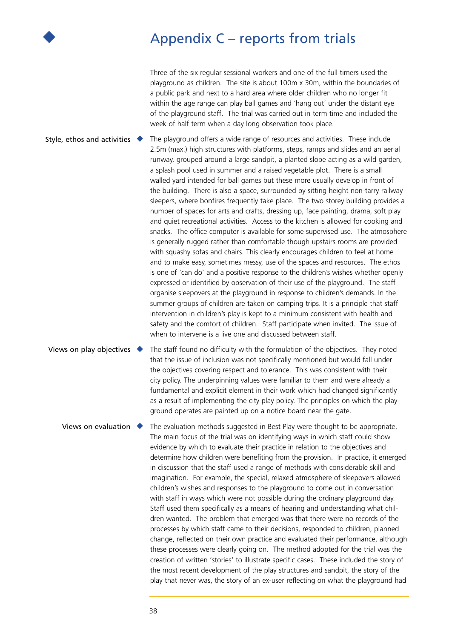

Three of the six regular sessional workers and one of the full timers used the playground as children. The site is about 100m x 30m, within the boundaries of a public park and next to a hard area where older children who no longer fit within the age range can play ball games and 'hang out' under the distant eye of the playground staff. The trial was carried out in term time and included the week of half term when a day long observation took place.

Style, ethos and activities  $\blacklozenge$ The playground offers a wide range of resources and activities. These include 2.5m (max.) high structures with platforms, steps, ramps and slides and an aerial runway, grouped around a large sandpit, a planted slope acting as a wild garden, a splash pool used in summer and a raised vegetable plot. There is a small walled yard intended for ball games but these more usually develop in front of the building. There is also a space, surrounded by sitting height non-tarry railway sleepers, where bonfires frequently take place. The two storey building provides a number of spaces for arts and crafts, dressing up, face painting, drama, soft play and quiet recreational activities. Access to the kitchen is allowed for cooking and snacks. The office computer is available for some supervised use. The atmosphere is generally rugged rather than comfortable though upstairs rooms are provided with squashy sofas and chairs. This clearly encourages children to feel at home and to make easy, sometimes messy, use of the spaces and resources. The ethos is one of 'can do' and a positive response to the children's wishes whether openly expressed or identified by observation of their use of the playground. The staff organise sleepovers at the playground in response to children's demands. In the summer groups of children are taken on camping trips. It is a principle that staff intervention in children's play is kept to a minimum consistent with health and safety and the comfort of children. Staff participate when invited. The issue of when to intervene is a live one and discussed between staff.

Views on play objectives  $\blacklozenge$ The staff found no difficulty with the formulation of the objectives. They noted that the issue of inclusion was not specifically mentioned but would fall under the objectives covering respect and tolerance. This was consistent with their city policy. The underpinning values were familiar to them and were already a fundamental and explicit element in their work which had changed significantly as a result of implementing the city play policy. The principles on which the playground operates are painted up on a notice board near the gate.

Views on evaluation The evaluation methods suggested in Best Play were thought to be appropriate. The main focus of the trial was on identifying ways in which staff could show evidence by which to evaluate their practice in relation to the objectives and determine how children were benefiting from the provision. In practice, it emerged in discussion that the staff used a range of methods with considerable skill and imagination. For example, the special, relaxed atmosphere of sleepovers allowed children's wishes and responses to the playground to come out in conversation with staff in ways which were not possible during the ordinary playground day. Staff used them specifically as a means of hearing and understanding what children wanted. The problem that emerged was that there were no records of the processes by which staff came to their decisions, responded to children, planned change, reflected on their own practice and evaluated their performance, although these processes were clearly going on. The method adopted for the trial was the creation of written 'stories' to illustrate specific cases. These included the story of the most recent development of the play structures and sandpit, the story of the play that never was, the story of an ex-user reflecting on what the playground had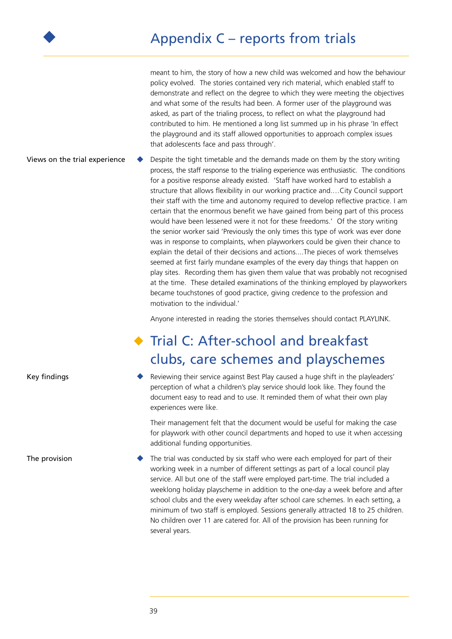

meant to him, the story of how a new child was welcomed and how the behaviour policy evolved. The stories contained very rich material, which enabled staff to demonstrate and reflect on the degree to which they were meeting the objectives and what some of the results had been. A former user of the playground was asked, as part of the trialing process, to reflect on what the playground had contributed to him. He mentioned a long list summed up in his phrase 'In effect the playground and its staff allowed opportunities to approach complex issues that adolescents face and pass through'.

Views on the trial experience Despite the tight timetable and the demands made on them by the story writing process, the staff response to the trialing experience was enthusiastic. The conditions for a positive response already existed. 'Staff have worked hard to establish a structure that allows flexibility in our working practice and.…City Council support their staff with the time and autonomy required to develop reflective practice. I am certain that the enormous benefit we have gained from being part of this process would have been lessened were it not for these freedoms.' Of the story writing the senior worker said 'Previously the only times this type of work was ever done was in response to complaints, when playworkers could be given their chance to explain the detail of their decisions and actions....The pieces of work themselves seemed at first fairly mundane examples of the every day things that happen on play sites. Recording them has given them value that was probably not recognised at the time. These detailed examinations of the thinking employed by playworkers became touchstones of good practice, giving credence to the profession and motivation to the individual.'

Anyone interested in reading the stories themselves should contact PLAYLINK.

# ◆ Trial C: After-school and breakfast clubs, care schemes and playschemes

Reviewing their service against Best Play caused a huge shift in the playleaders' perception of what a children's play service should look like. They found the document easy to read and to use. It reminded them of what their own play experiences were like.

Their management felt that the document would be useful for making the case for playwork with other council departments and hoped to use it when accessing additional funding opportunities.

The trial was conducted by six staff who were each employed for part of their working week in a number of different settings as part of a local council play service. All but one of the staff were employed part-time. The trial included a weeklong holiday playscheme in addition to the one-day a week before and after school clubs and the every weekday after school care schemes. In each setting, a minimum of two staff is employed. Sessions generally attracted 18 to 25 children. No children over 11 are catered for. All of the provision has been running for several years.

Key findings

The provision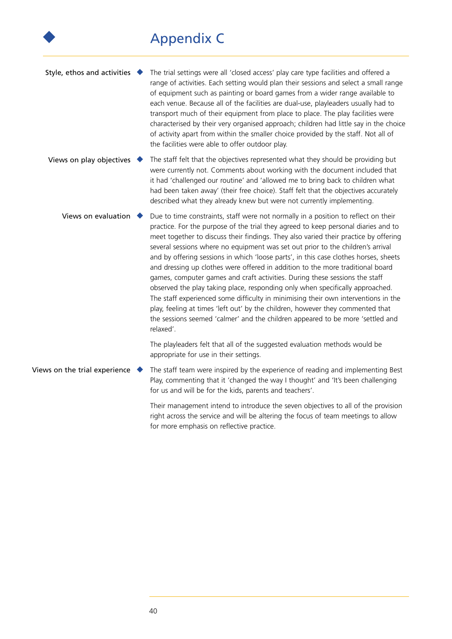# Appendix C

| Style, ethos and activities $\blacklozenge$ | The trial settings were all 'closed access' play care type facilities and offered a<br>range of activities. Each setting would plan their sessions and select a small range<br>of equipment such as painting or board games from a wider range available to<br>each venue. Because all of the facilities are dual-use, playleaders usually had to<br>transport much of their equipment from place to place. The play facilities were<br>characterised by their very organised approach; children had little say in the choice<br>of activity apart from within the smaller choice provided by the staff. Not all of<br>the facilities were able to offer outdoor play.                                                                                                                                                                                                                                                                                               |
|---------------------------------------------|----------------------------------------------------------------------------------------------------------------------------------------------------------------------------------------------------------------------------------------------------------------------------------------------------------------------------------------------------------------------------------------------------------------------------------------------------------------------------------------------------------------------------------------------------------------------------------------------------------------------------------------------------------------------------------------------------------------------------------------------------------------------------------------------------------------------------------------------------------------------------------------------------------------------------------------------------------------------|
| Views on play objectives                    | The staff felt that the objectives represented what they should be providing but<br>were currently not. Comments about working with the document included that<br>it had 'challenged our routine' and 'allowed me to bring back to children what<br>had been taken away' (their free choice). Staff felt that the objectives accurately<br>described what they already knew but were not currently implementing.                                                                                                                                                                                                                                                                                                                                                                                                                                                                                                                                                     |
| Views on evaluation                         | Due to time constraints, staff were not normally in a position to reflect on their<br>practice. For the purpose of the trial they agreed to keep personal diaries and to<br>meet together to discuss their findings. They also varied their practice by offering<br>several sessions where no equipment was set out prior to the children's arrival<br>and by offering sessions in which 'loose parts', in this case clothes horses, sheets<br>and dressing up clothes were offered in addition to the more traditional board<br>games, computer games and craft activities. During these sessions the staff<br>observed the play taking place, responding only when specifically approached.<br>The staff experienced some difficulty in minimising their own interventions in the<br>play, feeling at times 'left out' by the children, however they commented that<br>the sessions seemed 'calmer' and the children appeared to be more 'settled and<br>relaxed'. |
|                                             | The playleaders felt that all of the suggested evaluation methods would be<br>appropriate for use in their settings.                                                                                                                                                                                                                                                                                                                                                                                                                                                                                                                                                                                                                                                                                                                                                                                                                                                 |
| Views on the trial experience<br>◆          | The staff team were inspired by the experience of reading and implementing Best<br>Play, commenting that it 'changed the way I thought' and 'It's been challenging<br>for us and will be for the kids, parents and teachers'.                                                                                                                                                                                                                                                                                                                                                                                                                                                                                                                                                                                                                                                                                                                                        |
|                                             | Their management intend to introduce the seven objectives to all of the provision<br>right across the service and will be altering the focus of team meetings to allow                                                                                                                                                                                                                                                                                                                                                                                                                                                                                                                                                                                                                                                                                                                                                                                               |

for more emphasis on reflective practice.